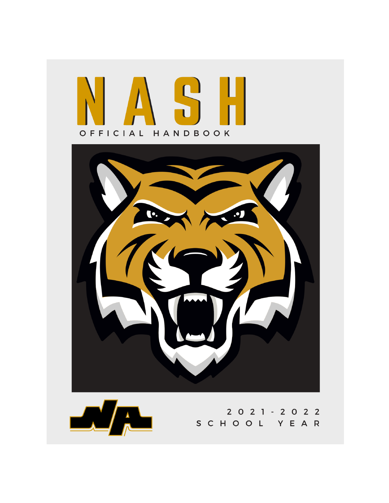





2 0 2 1 - 2 0 2 2 SCHOOL YEAR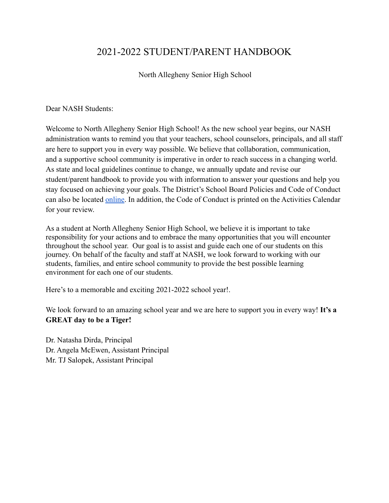# 2021-2022 STUDENT/PARENT HANDBOOK

North Allegheny Senior High School

Dear NASH Students:

Welcome to North Allegheny Senior High School! As the new school year begins, our NASH administration wants to remind you that your teachers, school counselors, principals, and all staff are here to support you in every way possible. We believe that collaboration, communication, and a supportive school community is imperative in order to reach success in a changing world. As state and local guidelines continue to change, we annually update and revise our student/parent handbook to provide you with information to answer your questions and help you stay focused on achieving your goals. The District's School Board Policies and Code of Conduct can also be located [online.](https://www.northallegheny.org/domain/144) In addition, the Code of Conduct is printed on the Activities Calendar for your review.

As a student at North Allegheny Senior High School, we believe it is important to take responsibility for your actions and to embrace the many opportunities that you will encounter throughout the school year. Our goal is to assist and guide each one of our students on this journey. On behalf of the faculty and staff at NASH, we look forward to working with our students, families, and entire school community to provide the best possible learning environment for each one of our students.

Here's to a memorable and exciting 2021-2022 school year!.

We look forward to an amazing school year and we are here to support you in every way! **It's a GREAT day to be a Tiger!**

Dr. Natasha Dirda, Principal Dr. Angela McEwen, Assistant Principal Mr. TJ Salopek, Assistant Principal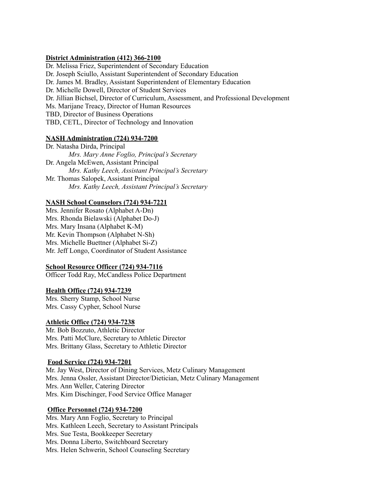#### **District Administration (412) 366-2100**

Dr. Melissa Friez, Superintendent of Secondary Education Dr. Joseph Sciullo, Assistant Superintendent of Secondary Education Dr. James M. Bradley, Assistant Superintendent of Elementary Education Dr. Michelle Dowell, Director of Student Services Dr. Jillian Bichsel, Director of Curriculum, Assessment, and Professional Development Ms. Marijane Treacy, Director of Human Resources TBD, Director of Business Operations TBD, CETL, Director of Technology and Innovation

#### **NASH Administration (724) 934-7200**

Dr. Natasha Dirda, Principal *Mrs. Mary Anne Foglio, Principal's Secretary* Dr. Angela McEwen, Assistant Principal *Mrs. Kathy Leech, Assistant Principal's Secretary* Mr. Thomas Salopek, Assistant Principal *Mrs. Kathy Leech, Assistant Principal's Secretary*

#### **NASH School Counselors (724) 934-7221**

Mrs. Jennifer Rosato (Alphabet A-Dn) Mrs. Rhonda Bielawski (Alphabet Do-J) Mrs. Mary Insana (Alphabet K-M) Mr. Kevin Thompson (Alphabet N-Sh) Mrs. Michelle Buettner (Alphabet Si-Z) Mr. Jeff Longo, Coordinator of Student Assistance

#### **School Resource Officer (724) 934-7116**

Officer Todd Ray, McCandless Police Department

#### **Health Office (724) 934-7239**

Mrs. Sherry Stamp, School Nurse Mrs. Cassy Cypher, School Nurse

#### **Athletic Office (724) 934-7238**

Mr. Bob Bozzuto, Athletic Director Mrs. Patti McClure, Secretary to Athletic Director Mrs. Brittany Glass, Secretary to Athletic Director

#### **Food Service (724) 934-7201**

Mr. Jay West, Director of Dining Services, Metz Culinary Management Mrs. Jenna Ossler, Assistant Director/Dietician, Metz Culinary Management Mrs. Ann Weller, Catering Director Mrs. Kim Dischinger, Food Service Office Manager

#### **Office Personnel (724) 934-7200**

Mrs. Mary Ann Foglio, Secretary to Principal Mrs. Kathleen Leech, Secretary to Assistant Principals Mrs. Sue Testa, Bookkeeper Secretary Mrs. Donna Liberto, Switchboard Secretary Mrs. Helen Schwerin, School Counseling Secretary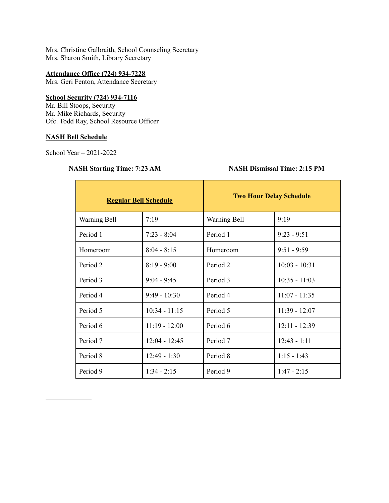Mrs. Christine Galbraith, School Counseling Secretary Mrs. Sharon Smith, Library Secretary

### **Attendance Office (724) 934-7228**

Mrs. Geri Fenton, Attendance Secretary

#### **School Security (724) 934-7116**

Mr. Bill Stoops, Security Mr. Mike Richards, Security Ofc. Todd Ray, School Resource Officer

# **NASH Bell Schedule**

School Year – 2021-2022

# **NASH Starting Time: 7:23 AM NASH Dismissal Time: 2:15 PM**

| <b>Regular Bell Schedule</b> |                 | <b>Two Hour Delay Schedule</b> |                 |
|------------------------------|-----------------|--------------------------------|-----------------|
| Warning Bell                 | 7:19            | Warning Bell                   | 9:19            |
| Period 1                     | $7:23 - 8:04$   | Period 1                       | $9:23 - 9:51$   |
| Homeroom                     | $8:04 - 8:15$   | Homeroom                       | $9:51 - 9:59$   |
| Period 2                     | $8:19 - 9:00$   | Period 2                       | $10:03 - 10:31$ |
| Period 3                     | $9:04 - 9:45$   | Period 3                       | $10:35 - 11:03$ |
| Period 4                     | $9:49 - 10:30$  | Period 4                       | $11:07 - 11:35$ |
| Period 5                     | $10:34 - 11:15$ | Period 5                       | $11:39 - 12:07$ |
| Period 6                     | $11:19 - 12:00$ | Period 6                       | $12:11 - 12:39$ |
| Period 7                     | $12:04 - 12:45$ | Period 7                       | $12:43 - 1:11$  |
| Period 8                     | $12:49 - 1:30$  | Period 8                       | $1:15 - 1:43$   |
| Period 9                     | $1:34 - 2:15$   | Period 9                       | $1:47 - 2:15$   |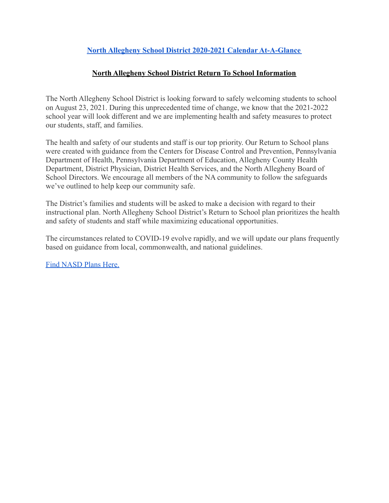# **[North Allegheny School District 2020-2021 Calendar](https://www.northallegheny.org/cms/lib/PA01001119/Centricity/Domain/3/210129_21-22SchoolCalendar.pdf) At-A-Glance**

# **North Allegheny School District Return To School Information**

The North Allegheny School District is looking forward to safely welcoming students to school on August 23, 2021. During this unprecedented time of change, we know that the 2021-2022 school year will look different and we are implementing health and safety measures to protect our students, staff, and families.

The health and safety of our students and staff is our top priority. Our Return to School plans were created with guidance from the Centers for Disease Control and Prevention, Pennsylvania Department of Health, Pennsylvania Department of Education, Allegheny County Health Department, District Physician, District Health Services, and the North Allegheny Board of School Directors. We encourage all members of the NA community to follow the safeguards we've outlined to help keep our community safe.

The District's families and students will be asked to make a decision with regard to their instructional plan. North Allegheny School District's Return to School plan prioritizes the health and safety of students and staff while maximizing educational opportunities.

The circumstances related to COVID-19 evolve rapidly, and we will update our plans frequently based on guidance from local, commonwealth, and national guidelines.

[Find NASD Plans Here.](https://www.northallegheny.org/domain/2878)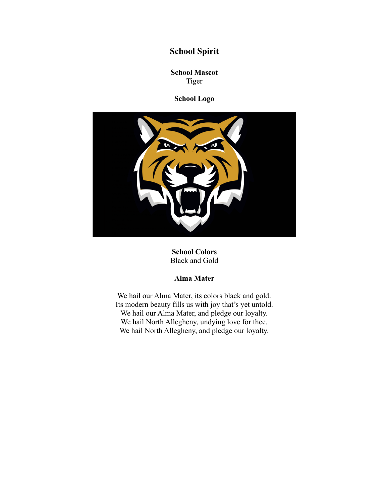# **School Spirit**

**School Mascot** Tiger

**School Logo**



**School Colors** Black and Gold

# **Alma Mater**

We hail our Alma Mater, its colors black and gold. Its modern beauty fills us with joy that's yet untold. We hail our Alma Mater, and pledge our loyalty. We hail North Allegheny, undying love for thee. We hail North Allegheny, and pledge our loyalty.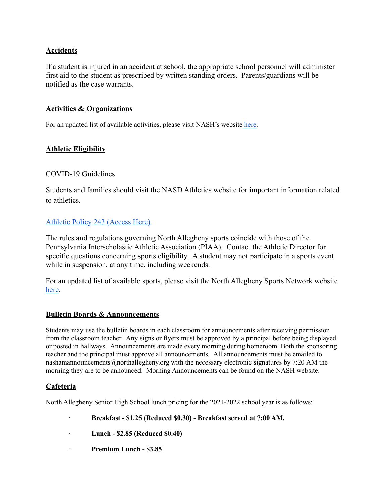# **Accidents**

If a student is injured in an accident at school, the appropriate school personnel will administer first aid to the student as prescribed by written standing orders. Parents/guardians will be notified as the case warrants.

# **Activities & Organizations**

For an updated list of available activities, please visit NASH's website [here.](https://www.northallegheny.org/domain/2190)

# **Athletic Eligibility**

### COVID-19 Guidelines

Students and families should visit the NASD Athletics website for important information related to athletics.

# [Athletic Policy 243 \(Access Here\)](https://www.northallegheny.org/cms/lib9/PA01001119/Centricity/Domain/2184/243%20-%20Athletic%20Policy%20and%20Procedures.pdf)

The rules and regulations governing North Allegheny sports coincide with those of the Pennsylvania Interscholastic Athletic Association (PIAA). Contact the Athletic Director for specific questions concerning sports eligibility. A student may not participate in a sports event while in suspension, at any time, including weekends.

For an updated list of available sports, please visit the North Allegheny Sports Network website [here.](http://athletics.northallegheny.org/)

### **Bulletin Boards & Announcements**

Students may use the bulletin boards in each classroom for announcements after receiving permission from the classroom teacher. Any signs or flyers must be approved by a principal before being displayed or posted in hallways. Announcements are made every morning during homeroom. Both the sponsoring teacher and the principal must approve all announcements*.* All announcements must be emailed to nashamannouncements@northallegheny.org with the necessary electronic signatures by 7:20 AM the morning they are to be announced. Morning Announcements can be found on the NASH website.

### **Cafeteria**

North Allegheny Senior High School lunch pricing for the 2021-2022 school year is as follows:

· **Breakfast - \$1.25 (Reduced \$0.30) - Breakfast served at 7:00 AM.**

· **Lunch - \$2.85 (Reduced \$0.40)**

· **Premium Lunch - \$3.85**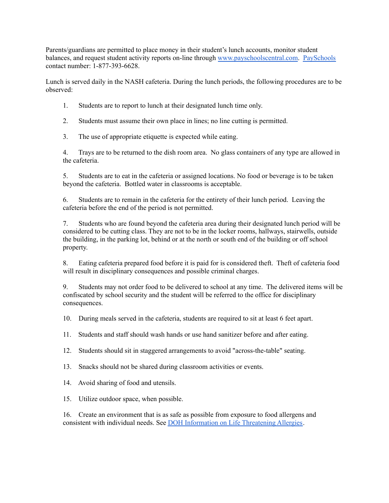Parents/guardians are permitted to place money in their student's lunch accounts, monitor student balances, and request student activity reports on-line through [www.payschoolscentral.com](http://www.payschoolscentral.com/). [PaySchools](http://www.payschoolscentral.com/) contact number: 1-877-393-6628.

Lunch is served daily in the NASH cafeteria. During the lunch periods, the following procedures are to be observed:

- 1. Students are to report to lunch at their designated lunch time only.
- 2. Students must assume their own place in lines; no line cutting is permitted.
- 3. The use of appropriate etiquette is expected while eating.

4. Trays are to be returned to the dish room area. No glass containers of any type are allowed in the cafeteria.

5. Students are to eat in the cafeteria or assigned locations. No food or beverage is to be taken beyond the cafeteria. Bottled water in classrooms is acceptable.

6. Students are to remain in the cafeteria for the entirety of their lunch period. Leaving the cafeteria before the end of the period is not permitted.

7. Students who are found beyond the cafeteria area during their designated lunch period will be considered to be cutting class. They are not to be in the locker rooms, hallways, stairwells, outside the building, in the parking lot, behind or at the north or south end of the building or off school property.

8. Eating cafeteria prepared food before it is paid for is considered theft. Theft of cafeteria food will result in disciplinary consequences and possible criminal charges.

9. Students may not order food to be delivered to school at any time. The delivered items will be confiscated by school security and the student will be referred to the office for disciplinary consequences.

10. During meals served in the cafeteria, students are required to sit at least 6 feet apart.

11. Students and staff should wash hands or use hand sanitizer before and after eating.

12. Students should sit in staggered arrangements to avoid "across-the-table" seating.

13. Snacks should not be shared during classroom activities or events.

14. Avoid sharing of food and utensils.

15. Utilize outdoor space, when possible.

16. Create an environment that is as safe as possible from exposure to food allergens and consistent with individual needs. See DOH Information on Life [Threatening](https://www.health.pa.gov/topics/school/Pages/Allergies.aspx) Allergies.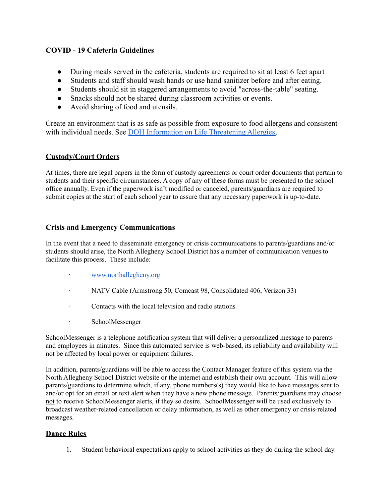# **COVID - 19 Cafeteria Guidelines**

- During meals served in the cafeteria, students are required to sit at least 6 feet apart
- Students and staff should wash hands or use hand sanitizer before and after eating.
- Students should sit in staggered arrangements to avoid "across-the-table" seating.
- Snacks should not be shared during classroom activities or events.
- Avoid sharing of food and utensils.

Create an environment that is as safe as possible from exposure to food allergens and consistent with individual needs. See [DOH Information on Life](https://www.health.pa.gov/topics/school/Pages/Allergies.aspx) Threatening Allergies.

# **Custody/Court Orders**

At times, there are legal papers in the form of custody agreements or court order documents that pertain to students and their specific circumstances. A copy of any of these forms must be presented to the school office annually. Even if the paperwork isn't modified or canceled, parents/guardians are required to submit copies at the start of each school year to assure that any necessary paperwork is up-to-date.

# **Crisis and Emergency Communications**

In the event that a need to disseminate emergency or crisis communications to parents/guardians and/or students should arise, the North Allegheny School District has a number of communication venues to facilitate this process. These include:

- · [www.northallegheny.org](http://www.northallegheny.org/)
- · NATV Cable (Armstrong 50, Comcast 98, Consolidated 406, Verizon 33)
- · Contacts with the local television and radio stations
- · SchoolMessenger

SchoolMessenger is a telephone notification system that will deliver a personalized message to parents and employees in minutes. Since this automated service is web-based, its reliability and availability will not be affected by local power or equipment failures.

In addition, parents/guardians will be able to access the Contact Manager feature of this system via the North Allegheny School District website or the internet and establish their own account. This will allow parents/guardians to determine which, if any, phone numbers(s) they would like to have messages sent to and/or opt for an email or text alert when they have a new phone message. Parents/guardians may choose not to receive SchoolMessenger alerts, if they so desire. SchoolMessenger will be used exclusively to broadcast weather-related cancellation or delay information, as well as other emergency or crisis-related messages.

# **Dance Rules**

1. Student behavioral expectations apply to school activities as they do during the school day.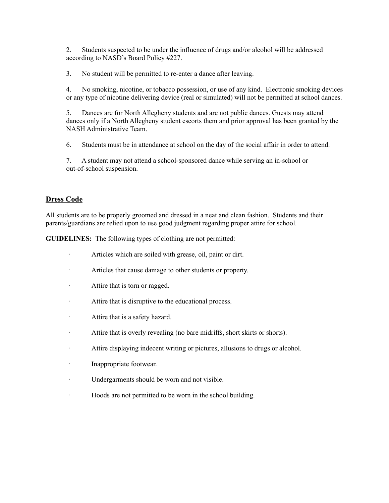2. Students suspected to be under the influence of drugs and/or alcohol will be addressed according to NASD's Board Policy #227.

3. No student will be permitted to re-enter a dance after leaving.

4. No smoking, nicotine, or tobacco possession, or use of any kind. Electronic smoking devices or any type of nicotine delivering device (real or simulated) will not be permitted at school dances.

5. Dances are for North Allegheny students and are not public dances. Guests may attend dances only if a North Allegheny student escorts them and prior approval has been granted by the NASH Administrative Team.

6. Students must be in attendance at school on the day of the social affair in order to attend.

7. A student may not attend a school-sponsored dance while serving an in-school or out-of-school suspension.

### **Dress Code**

All students are to be properly groomed and dressed in a neat and clean fashion. Students and their parents/guardians are relied upon to use good judgment regarding proper attire for school.

**GUIDELINES:** The following types of clothing are not permitted:

- · Articles which are soiled with grease, oil, paint or dirt.
- · Articles that cause damage to other students or property.
- · Attire that is torn or ragged.
- · Attire that is disruptive to the educational process.
- · Attire that is a safety hazard.
- · Attire that is overly revealing (no bare midriffs, short skirts or shorts).
- · Attire displaying indecent writing or pictures, allusions to drugs or alcohol.
- · Inappropriate footwear.
- · Undergarments should be worn and not visible.
- · Hoods are not permitted to be worn in the school building.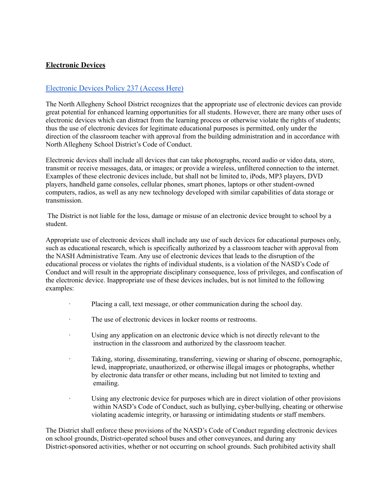# **Electronic Devices**

# [Electronic Devices Policy 237 \(Access Here\)](https://www.northallegheny.org/cms/lib9/PA01001119/Centricity/Domain/2184/237%20-%20Electronic%20Devices.pdf)

The North Allegheny School District recognizes that the appropriate use of electronic devices can provide great potential for enhanced learning opportunities for all students. However, there are many other uses of electronic devices which can distract from the learning process or otherwise violate the rights of students; thus the use of electronic devices for legitimate educational purposes is permitted, only under the direction of the classroom teacher with approval from the building administration and in accordance with North Allegheny School District's Code of Conduct.

Electronic devices shall include all devices that can take photographs, record audio or video data, store, transmit or receive messages, data, or images; or provide a wireless, unfiltered connection to the internet. Examples of these electronic devices include, but shall not be limited to, iPods, MP3 players, DVD players, handheld game consoles, cellular phones, smart phones, laptops or other student-owned computers, radios, as well as any new technology developed with similar capabilities of data storage or transmission.

The District is not liable for the loss, damage or misuse of an electronic device brought to school by a student.

Appropriate use of electronic devices shall include any use of such devices for educational purposes only, such as educational research, which is specifically authorized by a classroom teacher with approval from the NASH Administrative Team. Any use of electronic devices that leads to the disruption of the educational process or violates the rights of individual students, is a violation of the NASD's Code of Conduct and will result in the appropriate disciplinary consequence, loss of privileges, and confiscation of the electronic device. Inappropriate use of these devices includes, but is not limited to the following examples:

- Placing a call, text message, or other communication during the school day.
- The use of electronic devices in locker rooms or restrooms.
- Using any application on an electronic device which is not directly relevant to the instruction in the classroom and authorized by the classroom teacher.
- · Taking, storing, disseminating, transferring, viewing or sharing of obscene, pornographic, lewd, inappropriate, unauthorized, or otherwise illegal images or photographs, whether by electronic data transfer or other means, including but not limited to texting and emailing.
- Using any electronic device for purposes which are in direct violation of other provisions within NASD's Code of Conduct, such as bullying, cyber-bullying, cheating or otherwise violating academic integrity, or harassing or intimidating students or staff members.

The District shall enforce these provisions of the NASD's Code of Conduct regarding electronic devices on school grounds, District-operated school buses and other conveyances, and during any District-sponsored activities, whether or not occurring on school grounds. Such prohibited activity shall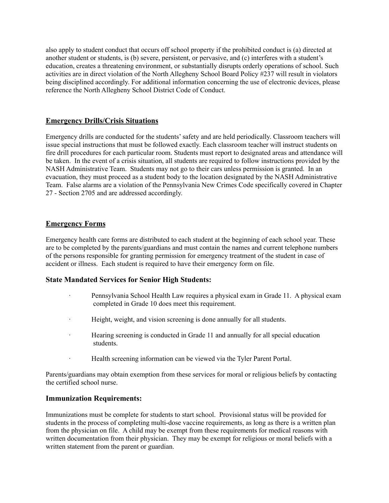also apply to student conduct that occurs off school property if the prohibited conduct is (a) directed at another student or students, is (b) severe, persistent, or pervasive, and (c) interferes with a student's education, creates a threatening environment, or substantially disrupts orderly operations of school. Such activities are in direct violation of the North Allegheny School Board Policy #237 will result in violators being disciplined accordingly. For additional information concerning the use of electronic devices, please reference the North Allegheny School District Code of Conduct.

### **Emergency Drills/Crisis Situations**

Emergency drills are conducted for the students'safety and are held periodically. Classroom teachers will issue special instructions that must be followed exactly. Each classroom teacher will instruct students on fire drill procedures for each particular room. Students must report to designated areas and attendance will be taken. In the event of a crisis situation, all students are required to follow instructions provided by the NASH Administrative Team. Students may not go to their cars unless permission is granted. In an evacuation, they must proceed as a student body to the location designated by the NASH Administrative Team. False alarms are a violation of the Pennsylvania New Crimes Code specifically covered in Chapter 27 - Section 2705 and are addressed accordingly.

# **Emergency Forms**

Emergency health care forms are distributed to each student at the beginning of each school year. These are to be completed by the parents/guardians and must contain the names and current telephone numbers of the persons responsible for granting permission for emergency treatment of the student in case of accident or illness. Each student is required to have their emergency form on file.

### **State Mandated Services for Senior High Students:**

- Pennsylvania School Health Law requires a physical exam in Grade 11. A physical exam completed in Grade 10 does meet this requirement.
- · Height, weight, and vision screening is done annually for all students.
- · Hearing screening is conducted in Grade 11 and annually for all special education students.
- · Health screening information can be viewed via the Tyler Parent Portal.

Parents/guardians may obtain exemption from these services for moral or religious beliefs by contacting the certified school nurse.

### **Immunization Requirements:**

Immunizations must be complete for students to start school. Provisional status will be provided for students in the process of completing multi-dose vaccine requirements, as long as there is a written plan from the physician on file. A child may be exempt from these requirements for medical reasons with written documentation from their physician. They may be exempt for religious or moral beliefs with a written statement from the parent or guardian.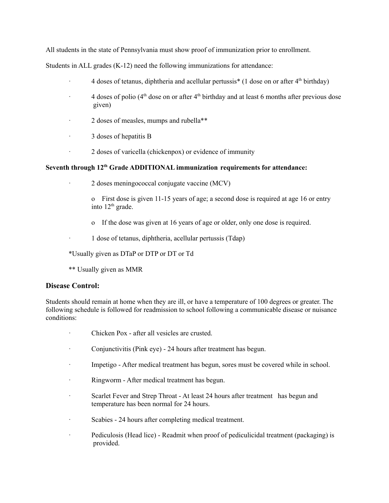All students in the state of Pennsylvania must show proof of immunization prior to enrollment.

Students in ALL grades (K-12) need the following immunizations for attendance:

- 4 doses of tetanus, diphtheria and acellular pertussis<sup>\*</sup> (1 dose on or after  $4<sup>th</sup>$  birthday)
- $\cdot$  4 doses of polio ( $4^{\text{th}}$  dose on or after  $4^{\text{th}}$  birthday and at least 6 months after previous dose given)
- · 2 doses of measles, mumps and rubella\*\*
- · 3 doses of hepatitis B
- · 2 doses of varicella (chickenpox) or evidence of immunity

#### **Seventh through 12 th Grade ADDITIONAL immunization requirements for attendance:**

- · 2 doses meningococcal conjugate vaccine (MCV)
	- o First dose is given 11-15 years of age; a second dose is required at age 16 or entry into 12<sup>th</sup> grade.
	- o If the dose was given at 16 years of age or older, only one dose is required.
- · 1 dose of tetanus, diphtheria, acellular pertussis (Tdap)

\*Usually given as DTaP or DTP or DT or Td

\*\* Usually given as MMR

#### **Disease Control:**

Students should remain at home when they are ill, or have a temperature of 100 degrees or greater. The following schedule is followed for readmission to school following a communicable disease or nuisance conditions:

- · Chicken Pox after all vesicles are crusted.
- · Conjunctivitis (Pink eye) 24 hours after treatment has begun.
- · Impetigo After medical treatment has begun, sores must be covered while in school.
- · Ringworm After medical treatment has begun.
- · Scarlet Fever and Strep Throat At least 24 hours after treatment has begun and temperature has been normal for 24 hours.
- · Scabies 24 hours after completing medical treatment.
- · Pediculosis (Head lice) Readmit when proof of pediculicidal treatment (packaging) is provided.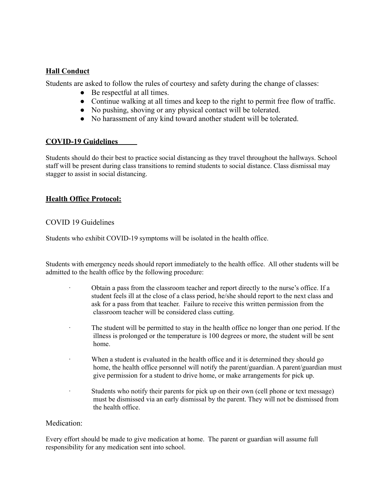# **Hall Conduct**

Students are asked to follow the rules of courtesy and safety during the change of classes:

- $\bullet$  Be respectful at all times.
- Continue walking at all times and keep to the right to permit free flow of traffic.
- No pushing, shoving or any physical contact will be tolerated.
- No harassment of any kind toward another student will be tolerated.

### **COVID-19 Guidelines**

Students should do their best to practice social distancing as they travel throughout the hallways. School staff will be present during class transitions to remind students to social distance. Class dismissal may stagger to assist in social distancing.

# **Health Office Protocol:**

#### COVID 19 Guidelines

Students who exhibit COVID-19 symptoms will be isolated in the health office.

Students with emergency needs should report immediately to the health office. All other students will be admitted to the health office by the following procedure:

- · Obtain a pass from the classroom teacher and report directly to the nurse's office. If a student feels ill at the close of a class period, he/she should report to the next class and ask for a pass from that teacher. Failure to receive this written permission from the classroom teacher will be considered class cutting.
- The student will be permitted to stay in the health office no longer than one period. If the illness is prolonged or the temperature is 100 degrees or more, the student will be sent home.
- When a student is evaluated in the health office and it is determined they should go home, the health office personnel will notify the parent/guardian. A parent/guardian must give permission for a student to drive home, or make arrangements for pick up.
- Students who notify their parents for pick up on their own (cell phone or text message) must be dismissed via an early dismissal by the parent. They will not be dismissed from the health office.

#### Medication:

Every effort should be made to give medication at home. The parent or guardian will assume full responsibility for any medication sent into school.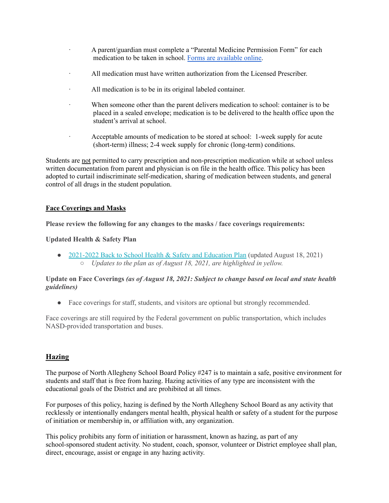- · A parent/guardian must complete a "Parental Medicine Permission Form" for each medication to be taken in school. Forms are [available](https://www.northallegheny.org/cms/lib/PA01001119/Centricity/Domain/33/Medication%20Permission%20Form%20%20210.pdf) online.
- All medication must have written authorization from the Licensed Prescriber.
- · All medication is to be in its original labeled container.
- · When someone other than the parent delivers medication to school: container is to be placed in a sealed envelope; medication is to be delivered to the health office upon the student's arrival at school.
- · Acceptable amounts of medication to be stored at school: 1-week supply for acute (short-term) illness; 2-4 week supply for chronic (long-term) conditions.

Students are not permitted to carry prescription and non-prescription medication while at school unless written documentation from parent and physician is on file in the health office. This policy has been adopted to curtail indiscriminate self-medication, sharing of medication between students, and general control of all drugs in the student population.

#### **Face Coverings and Masks**

**Please review the following for any changes to the masks / face coverings requirements:**

#### **Updated Health & Safety Plan**

• [2021-2022](https://nam02.safelinks.protection.outlook.com/?url=https%3A%2F%2Fr20.rs6.net%2Ftn.jsp%3Ff%3D001VvwkJV_DvxHVAV3FCFICGALrQU1EDJz4CzxqtmaR0poaqJNBybHbevv3KxLWplcnKEDWXf_etn7U0r3d_hQ2joFteCOv4wTYzR-pauSb0P_FmbWon-_gwvrwxQzo7y2gn9BtObDrBusBTDwV9utmtUfTKXl41CqCyMjkpOi9-YQwV4xISgzJf4s4WFo0bds7-s8uyoj3r3jsgyT2Oksg1mQxunwebYIWZrnuA7lL-SLAcpWZU8HtuK3-w6pc-PNsmm6ikdk1N9ZQDvoM5-JaKcZwdqDG-1ZW%26c%3DBph07_h7kHAnjgZO_8g9a4aqGh93dnVazh6moB6rOWOrBeJHPDkebQ%3D%3D%26ch%3DdJxn3BGHn-2xpL18sHiZaETzT0_XqNn80566tTORso86ySFaPFYZLg%3D%3D&data=04%7C01%7C%7Cf349cc03d58541e236cc08d963eef2fb%7C030d132b2d0c4ceb9a5f21a90cb294af%7C0%7C0%7C637650700211104601%7CUnknown%7CTWFpbGZsb3d8eyJWIjoiMC4wLjAwMDAiLCJQIjoiV2luMzIiLCJBTiI6Ik1haWwiLCJXVCI6Mn0%3D%7C1000&sdata=uR6m%2FH8IAc2ESJs7wdEjafwZbB49lsiHPTLtfLGUiS8%3D&reserved=0) Back to School Health & Safety and Education Plan (updated August 18, 2021) *○ Updates to the plan as of August 18, 2021, are highlighted in yellow.*

#### **Update on Face Coverings** *(as of August 18, 2021: Subject to change based on local and state health guidelines)*

• Face coverings for staff, students, and visitors are optional but strongly recommended.

Face coverings are still required by the Federal government on public transportation, which includes NASD-provided transportation and buses.

### **Hazing**

The purpose of North Allegheny School Board Policy #247 is to maintain a safe, positive environment for students and staff that is free from hazing. Hazing activities of any type are inconsistent with the educational goals of the District and are prohibited at all times.

For purposes of this policy, hazing is defined by the North Allegheny School Board as any activity that recklessly or intentionally endangers mental health, physical health or safety of a student for the purpose of initiation or membership in, or affiliation with, any organization.

This policy prohibits any form of initiation or harassment, known as hazing, as part of any school-sponsored student activity. No student, coach, sponsor, volunteer or District employee shall plan, direct, encourage, assist or engage in any hazing activity.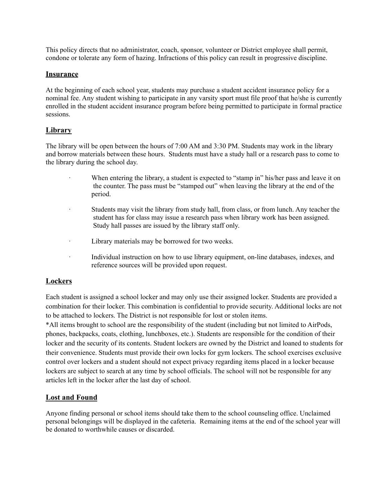This policy directs that no administrator, coach, sponsor, volunteer or District employee shall permit, condone or tolerate any form of hazing. Infractions of this policy can result in progressive discipline.

#### **Insurance**

At the beginning of each school year, students may purchase a student accident insurance policy for a nominal fee. Any student wishing to participate in any varsity sport must file proof that he/she is currently enrolled in the student accident insurance program before being permitted to participate in formal practice sessions.

### **Library**

The library will be open between the hours of 7:00 AM and 3:30 PM. Students may work in the library and borrow materials between these hours. Students must have a study hall or a research pass to come to the library during the school day.

- When entering the library, a student is expected to "stamp in" his/her pass and leave it on the counter. The pass must be "stamped out" when leaving the library at the end of the period.
- · Students may visit the library from study hall, from class, or from lunch. Any teacher the student has for class may issue a research pass when library work has been assigned. Study hall passes are issued by the library staff only.
- · Library materials may be borrowed for two weeks.
- · Individual instruction on how to use library equipment, on-line databases, indexes, and reference sources will be provided upon request.

### **Lockers**

Each student is assigned a school locker and may only use their assigned locker. Students are provided a combination for their locker. This combination is confidential to provide security. Additional locks are not to be attached to lockers. The District is not responsible for lost or stolen items.

\*All items brought to school are the responsibility of the student (including but not limited to AirPods, phones, backpacks, coats, clothing, lunchboxes, etc.). Students are responsible for the condition of their locker and the security of its contents. Student lockers are owned by the District and loaned to students for their convenience. Students must provide their own locks for gym lockers. The school exercises exclusive control over lockers and a student should not expect privacy regarding items placed in a locker because lockers are subject to search at any time by school officials. The school will not be responsible for any articles left in the locker after the last day of school.

### **Lost and Found**

Anyone finding personal or school items should take them to the school counseling office. Unclaimed personal belongings will be displayed in the cafeteria. Remaining items at the end of the school year will be donated to worthwhile causes or discarded.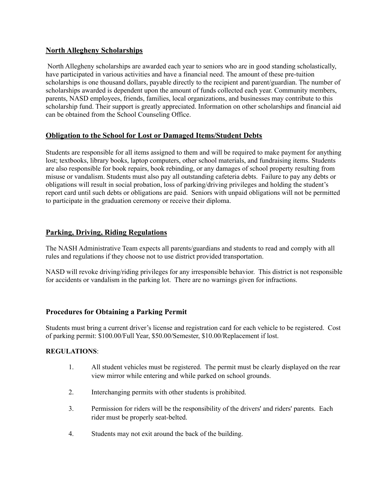# **North Allegheny Scholarships**

North Allegheny scholarships are awarded each year to seniors who are in good standing scholastically, have participated in various activities and have a financial need. The amount of these pre-tuition scholarships is one thousand dollars, payable directly to the recipient and parent/guardian. The number of scholarships awarded is dependent upon the amount of funds collected each year. Community members, parents, NASD employees, friends, families, local organizations, and businesses may contribute to this scholarship fund. Their support is greatly appreciated. Information on other scholarships and financial aid can be obtained from the School Counseling Office.

# **Obligation to the School for Lost or Damaged Items/Student Debts**

Students are responsible for all items assigned to them and will be required to make payment for anything lost; textbooks, library books, laptop computers, other school materials, and fundraising items. Students are also responsible for book repairs, book rebinding, or any damages of school property resulting from misuse or vandalism. Students must also pay all outstanding cafeteria debts. Failure to pay any debts or obligations will result in social probation, loss of parking/driving privileges and holding the student's report card until such debts or obligations are paid. Seniors with unpaid obligations will not be permitted to participate in the graduation ceremony or receive their diploma.

# **Parking, Driving, Riding Regulations**

The NASH Administrative Team expects all parents/guardians and students to read and comply with all rules and regulations if they choose not to use district provided transportation.

NASD will revoke driving/riding privileges for any irresponsible behavior. This district is not responsible for accidents or vandalism in the parking lot. There are no warnings given for infractions.

# **Procedures for Obtaining a Parking Permit**

Students must bring a current driver's license and registration card for each vehicle to be registered. Cost of parking permit: \$100.00/Full Year, \$50.00/Semester, \$10.00/Replacement if lost.

### **REGULATIONS**:

- 1. All student vehicles must be registered. The permit must be clearly displayed on the rear view mirror while entering and while parked on school grounds.
- 2. Interchanging permits with other students is prohibited.
- 3. Permission for riders will be the responsibility of the drivers' and riders' parents. Each rider must be properly seat-belted.
- 4. Students may not exit around the back of the building.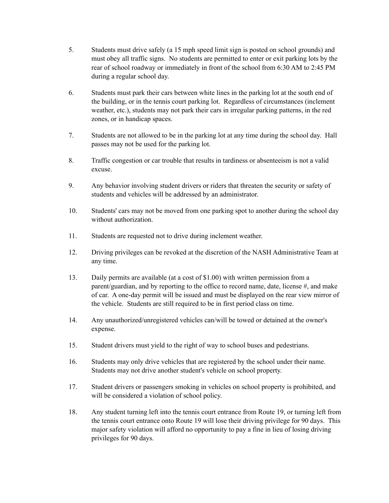- 5. Students must drive safely (a 15 mph speed limit sign is posted on school grounds) and must obey all traffic signs. No students are permitted to enter or exit parking lots by the rear of school roadway or immediately in front of the school from 6:30 AM to 2:45 PM during a regular school day.
- 6. Students must park their cars between white lines in the parking lot at the south end of the building, or in the tennis court parking lot. Regardless of circumstances (inclement weather, etc.), students may not park their cars in irregular parking patterns, in the red zones, or in handicap spaces.
- 7. Students are not allowed to be in the parking lot at any time during the school day. Hall passes may not be used for the parking lot.
- 8. Traffic congestion or car trouble that results in tardiness or absenteeism is not a valid excuse.
- 9. Any behavior involving student drivers or riders that threaten the security or safety of students and vehicles will be addressed by an administrator.
- 10. Students' cars may not be moved from one parking spot to another during the school day without authorization.
- 11. Students are requested not to drive during inclement weather.
- 12. Driving privileges can be revoked at the discretion of the NASH Administrative Team at any time.
- 13. Daily permits are available (at a cost of \$1.00) with written permission from a parent/guardian, and by reporting to the office to record name, date, license #, and make of car. A one-day permit will be issued and must be displayed on the rear view mirror of the vehicle. Students are still required to be in first period class on time.
- 14. Any unauthorized/unregistered vehicles can/will be towed or detained at the owner's expense.
- 15. Student drivers must yield to the right of way to school buses and pedestrians.
- 16. Students may only drive vehicles that are registered by the school under their name. Students may not drive another student's vehicle on school property.
- 17. Student drivers or passengers smoking in vehicles on school property is prohibited, and will be considered a violation of school policy.
- 18. Any student turning left into the tennis court entrance from Route 19, or turning left from the tennis court entrance onto Route 19 will lose their driving privilege for 90 days. This major safety violation will afford no opportunity to pay a fine in lieu of losing driving privileges for 90 days.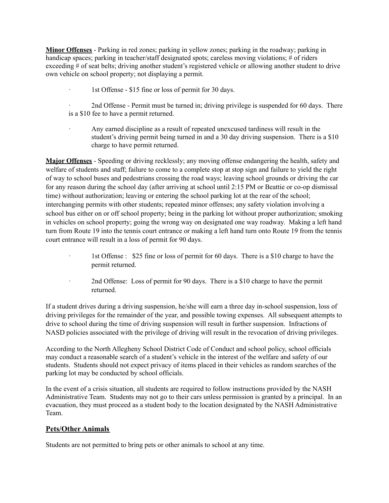**Minor Offenses** - Parking in red zones; parking in yellow zones; parking in the roadway; parking in handicap spaces; parking in teacher/staff designated spots; careless moving violations; # of riders exceeding # of seat belts; driving another student's registered vehicle or allowing another student to drive own vehicle on school property; not displaying a permit.

1st Offense - \$15 fine or loss of permit for 30 days.

· 2nd Offense - Permit must be turned in; driving privilege is suspended for 60 days. There is a \$10 fee to have a permit returned.

Any earned discipline as a result of repeated unexcused tardiness will result in the student's driving permit being turned in and a 30 day driving suspension. There is a \$10 charge to have permit returned.

**Major Offenses** - Speeding or driving recklessly; any moving offense endangering the health, safety and welfare of students and staff; failure to come to a complete stop at stop sign and failure to yield the right of way to school buses and pedestrians crossing the road ways; leaving school grounds or driving the car for any reason during the school day (after arriving at school until 2:15 PM or Beattie or co-op dismissal time) without authorization; leaving or entering the school parking lot at the rear of the school; interchanging permits with other students; repeated minor offenses; any safety violation involving a school bus either on or off school property; being in the parking lot without proper authorization; smoking in vehicles on school property; going the wrong way on designated one way roadway. Making a left hand turn from Route 19 into the tennis court entrance or making a left hand turn onto Route 19 from the tennis court entrance will result in a loss of permit for 90 days.

- · 1st Offense : \$25 fine or loss of permit for 60 days. There is a \$10 charge to have the permit returned.
- · 2nd Offense: Loss of permit for 90 days. There is a \$10 charge to have the permit returned.

If a student drives during a driving suspension, he/she will earn a three day in-school suspension, loss of driving privileges for the remainder of the year, and possible towing expenses. All subsequent attempts to drive to school during the time of driving suspension will result in further suspension. Infractions of NASD policies associated with the privilege of driving will result in the revocation of driving privileges.

According to the North Allegheny School District Code of Conduct and school policy, school officials may conduct a reasonable search of a student's vehicle in the interest of the welfare and safety of our students. Students should not expect privacy of items placed in their vehicles as random searches of the parking lot may be conducted by school officials.

In the event of a crisis situation, all students are required to follow instructions provided by the NASH Administrative Team. Students may not go to their cars unless permission is granted by a principal. In an evacuation, they must proceed as a student body to the location designated by the NASH Administrative Team.

### **Pets/Other Animals**

Students are not permitted to bring pets or other animals to school at any time.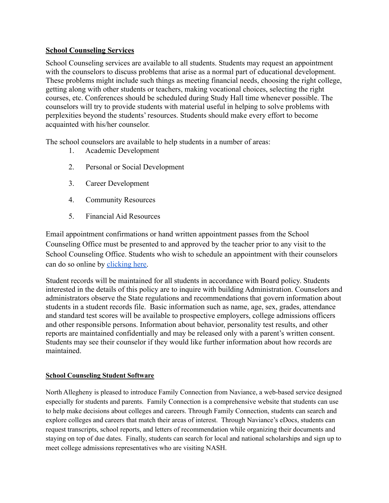# **School Counseling Services**

School Counseling services are available to all students. Students may request an appointment with the counselors to discuss problems that arise as a normal part of educational development. These problems might include such things as meeting financial needs, choosing the right college, getting along with other students or teachers, making vocational choices, selecting the right courses, etc. Conferences should be scheduled during Study Hall time whenever possible. The counselors will try to provide students with material useful in helping to solve problems with perplexities beyond the students' resources. Students should make every effort to become acquainted with his/her counselor.

The school counselors are available to help students in a number of areas:

- 1. Academic Development
- 2. Personal or Social Development
- 3. Career Development
- 4. Community Resources
- 5. Financial Aid Resources

Email appointment confirmations or hand written appointment passes from the School Counseling Office must be presented to and approved by the teacher prior to any visit to the School Counseling Office. Students who wish to schedule an appointment with their counselors can do so online by [clicking here.](https://www.northallegheny.org/Page/21898)

Student records will be maintained for all students in accordance with Board policy. Students interested in the details of this policy are to inquire with building Administration. Counselors and administrators observe the State regulations and recommendations that govern information about students in a student records file. Basic information such as name, age, sex, grades, attendance and standard test scores will be available to prospective employers, college admissions officers and other responsible persons. Information about behavior, personality test results, and other reports are maintained confidentially and may be released only with a parent's written consent. Students may see their counselor if they would like further information about how records are maintained.

# **School Counseling Student Software**

North Allegheny is pleased to introduce Family Connection from Naviance, a web-based service designed especially for students and parents. Family Connection is a comprehensive website that students can use to help make decisions about colleges and careers. Through Family Connection, students can search and explore colleges and careers that match their areas of interest. Through Naviance's eDocs, students can request transcripts, school reports, and letters of recommendation while organizing their documents and staying on top of due dates. Finally, students can search for local and national scholarships and sign up to meet college admissions representatives who are visiting NASH.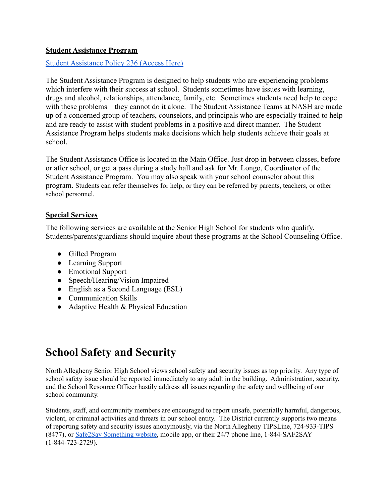# **Student Assistance Program**

[Student Assistance Policy 236 \(Access Here\)](https://www.northallegheny.org/cms/lib9/PA01001119/Centricity/Domain/2184/236%20-%20Student%20Assistance%20Program.pdf)

The Student Assistance Program is designed to help students who are experiencing problems which interfere with their success at school. Students sometimes have issues with learning, drugs and alcohol, relationships, attendance, family, etc. Sometimes students need help to cope with these problems—they cannot do it alone. The Student Assistance Teams at NASH are made up of a concerned group of teachers, counselors, and principals who are especially trained to help and are ready to assist with student problems in a positive and direct manner. The Student Assistance Program helps students make decisions which help students achieve their goals at school.

The Student Assistance Office is located in the Main Office. Just drop in between classes, before or after school, or get a pass during a study hall and ask for Mr. Longo, Coordinator of the Student Assistance Program. You may also speak with your school counselor about this program. Students can refer themselves for help, or they can be referred by parents, teachers, or other school personnel.

# **Special Services**

The following services are available at the Senior High School for students who qualify. Students/parents/guardians should inquire about these programs at the School Counseling Office.

- Gifted Program
- Learning Support
- Emotional Support
- Speech/Hearing/Vision Impaired
- English as a Second Language (ESL)
- Communication Skills
- Adaptive Health & Physical Education

# **School Safety and Security**

North Allegheny Senior High School views school safety and security issues as top priority. Any type of school safety issue should be reported immediately to any adult in the building. Administration, security, and the School Resource Officer hastily address all issues regarding the safety and wellbeing of our school community.

Students, staff, and community members are encouraged to report unsafe, potentially harmful, dangerous, violent, or criminal activities and threats in our school entity. The District currently supports two means of reporting safety and security issues anonymously, via the North Allegheny TIPSLine, 724-933-TIPS (8477), or Safe2Say [Something](https://www.safe2saypa.org/) website, mobile app, or their 24/7 phone line, 1-844-SAF2SAY (1-844-723-2729).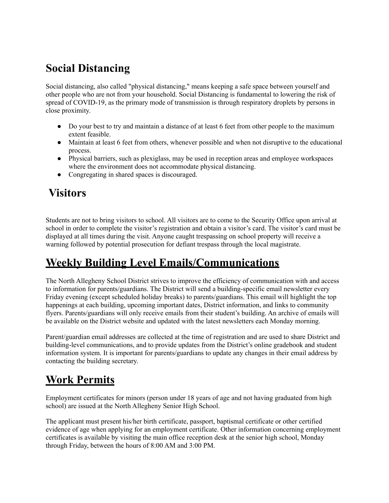# **Social Distancing**

Social distancing, also called "physical distancing," means keeping a safe space between yourself and other people who are not from your household. Social Distancing is fundamental to lowering the risk of spread of COVID-19, as the primary mode of transmission is through respiratory droplets by persons in close proximity.

- Do your best to try and maintain a distance of at least 6 feet from other people to the maximum extent feasible.
- Maintain at least 6 feet from others, whenever possible and when not disruptive to the educational process.
- Physical barriers, such as plexiglass, may be used in reception areas and employee workspaces where the environment does not accommodate physical distancing.
- Congregating in shared spaces is discouraged.

# **Visitors**

Students are not to bring visitors to school. All visitors are to come to the Security Office upon arrival at school in order to complete the visitor's registration and obtain a visitor's card. The visitor's card must be displayed at all times during the visit. Anyone caught trespassing on school property will receive a warning followed by potential prosecution for defiant trespass through the local magistrate.

# **Weekly Building Level Emails/Communications**

The North Allegheny School District strives to improve the efficiency of communication with and access to information for parents/guardians. The District will send a building-specific email newsletter every Friday evening (except scheduled holiday breaks) to parents/guardians. This email will highlight the top happenings at each building, upcoming important dates, District information, and links to community flyers. Parents/guardians will only receive emails from their student's building. An archive of emails will be available on the District website and updated with the latest newsletters each Monday morning.

Parent/guardian email addresses are collected at the time of registration and are used to share District and building-level communications, and to provide updates from the District's online gradebook and student information system. It is important for parents/guardians to update any changes in their email address by contacting the building secretary.

# **Work Permits**

Employment certificates for minors (person under 18 years of age and not having graduated from high school) are issued at the North Allegheny Senior High School.

The applicant must present his/her birth certificate, passport, baptismal certificate or other certified evidence of age when applying for an employment certificate. Other information concerning employment certificates is available by visiting the main office reception desk at the senior high school, Monday through Friday, between the hours of 8:00 AM and 3:00 PM.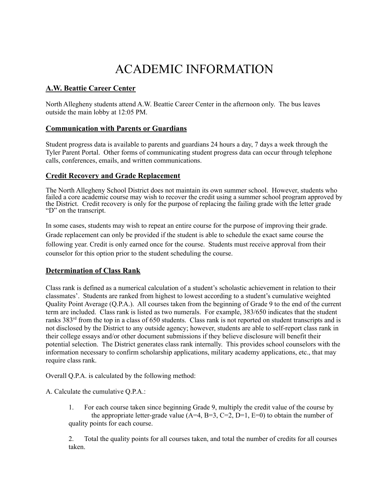# ACADEMIC INFORMATION

# **A.W. Beattie Career Center**

North Allegheny students attend A.W. Beattie Career Center in the afternoon only. The bus leaves outside the main lobby at 12:05 PM.

#### **Communication with Parents or Guardians**

Student progress data is available to parents and guardians 24 hours a day, 7 days a week through the Tyler Parent Portal. Other forms of communicating student progress data can occur through telephone calls, conferences, emails, and written communications.

#### **Credit Recovery and Grade Replacement**

The North Allegheny School District does not maintain its own summer school. However, students who failed a core academic course may wish to recover the credit using a summer school program approved by the District. Credit recovery is only for the purpose of replacing the failing grade with the letter grade "D" on the transcript.

In some cases, students may wish to repeat an entire course for the purpose of improving their grade. Grade replacement can only be provided if the student is able to schedule the exact same course the following year. Credit is only earned once for the course. Students must receive approval from their counselor for this option prior to the student scheduling the course.

### **Determination of Class Rank**

Class rank is defined as a numerical calculation of a student's scholastic achievement in relation to their classmates'. Students are ranked from highest to lowest according to a student's cumulative weighted Quality Point Average (Q.P.A.). All courses taken from the beginning of Grade 9 to the end of the current term are included. Class rank is listed as two numerals. For example, 383/650 indicates that the student ranks 383<sup>rd</sup> from the top in a class of 650 students. Class rank is not reported on student transcripts and is not disclosed by the District to any outside agency; however, students are able to self-report class rank in their college essays and/or other document submissions if they believe disclosure will benefit their potential selection. The District generates class rank internally. This provides school counselors with the information necessary to confirm scholarship applications, military academy applications, etc., that may require class rank.

Overall Q.P.A. is calculated by the following method:

A. Calculate the cumulative Q.P.A.:

1. For each course taken since beginning Grade 9, multiply the credit value of the course by the appropriate letter-grade value  $(A=4, B=3, C=2, D=1, E=0)$  to obtain the number of quality points for each course.

2. Total the quality points for all courses taken, and total the number of credits for all courses taken.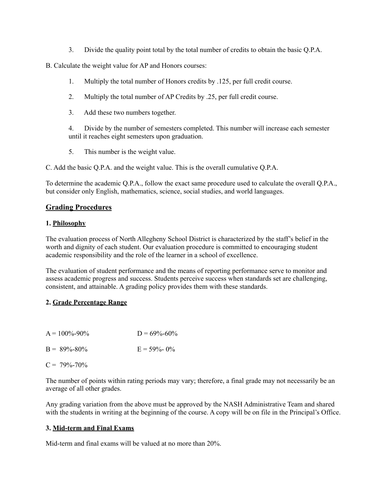3. Divide the quality point total by the total number of credits to obtain the basic Q.P.A.

B. Calculate the weight value for AP and Honors courses:

- 1. Multiply the total number of Honors credits by .125, per full credit course.
- 2. Multiply the total number of AP Credits by .25, per full credit course.
- 3. Add these two numbers together.

4. Divide by the number of semesters completed. This number will increase each semester until it reaches eight semesters upon graduation.

5. This number is the weight value.

C. Add the basic Q.P.A. and the weight value. This is the overall cumulative Q.P.A.

To determine the academic Q.P.A., follow the exact same procedure used to calculate the overall Q.P.A., but consider only English, mathematics, science, social studies, and world languages.

### **Grading Procedures**

#### **1. Philosophy**

The evaluation process of North Allegheny School District is characterized by the staff's belief in the worth and dignity of each student. Our evaluation procedure is committed to encouraging student academic responsibility and the role of the learner in a school of excellence.

The evaluation of student performance and the means of reporting performance serve to monitor and assess academic progress and success. Students perceive success when standards set are challenging, consistent, and attainable. A grading policy provides them with these standards.

#### **2. Grade Percentage Range**

| $A = 100\% - 90\%$ | $D = 69\% - 60\%$ |
|--------------------|-------------------|
| $B = 89\% - 80\%$  | $E = 59\% - 0\%$  |
| $C = 79\% - 70\%$  |                   |

The number of points within rating periods may vary; therefore, a final grade may not necessarily be an average of all other grades.

Any grading variation from the above must be approved by the NASH Administrative Team and shared with the students in writing at the beginning of the course. A copy will be on file in the Principal's Office.

### **3. Mid-term and Final Exams**

Mid-term and final exams will be valued at no more than 20%.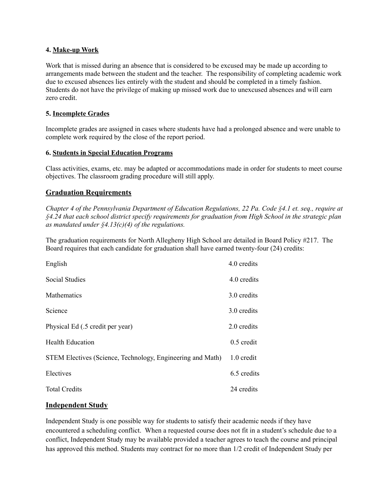#### **4. Make-up Work**

Work that is missed during an absence that is considered to be excused may be made up according to arrangements made between the student and the teacher. The responsibility of completing academic work due to excused absences lies entirely with the student and should be completed in a timely fashion. Students do not have the privilege of making up missed work due to unexcused absences and will earn zero credit.

### **5. Incomplete Grades**

Incomplete grades are assigned in cases where students have had a prolonged absence and were unable to complete work required by the close of the report period.

#### **6. Students in Special Education Programs**

Class activities, exams, etc. may be adapted or accommodations made in order for students to meet course objectives. The classroom grading procedure will still apply.

# **Graduation Requirements**

*Chapter 4 of the Pennsylvania Department of Education Regulations, 22 Pa. Code §4.1 et. seq., require at §4.24 that each school district specify requirements for graduation from High School in the strategic plan as mandated under §4.13(c)(4) of the regulations.*

The graduation requirements for North Allegheny High School are detailed in Board Policy #217. The Board requires that each candidate for graduation shall have earned twenty-four (24) credits:

| English                                                    | 4.0 credits  |
|------------------------------------------------------------|--------------|
| <b>Social Studies</b>                                      | 4.0 credits  |
| Mathematics                                                | 3.0 credits  |
| Science                                                    | 3.0 credits  |
| Physical Ed (.5 credit per year)                           | 2.0 credits  |
| <b>Health Education</b>                                    | $0.5$ credit |
| STEM Electives (Science, Technology, Engineering and Math) | 1.0 credit   |
| Electives                                                  | 6.5 credits  |
| <b>Total Credits</b>                                       | 24 credits   |

### **Independent Study**

Independent Study is one possible way for students to satisfy their academic needs if they have encountered a scheduling conflict. When a requested course does not fit in a student's schedule due to a conflict, Independent Study may be available provided a teacher agrees to teach the course and principal has approved this method. Students may contract for no more than 1/2 credit of Independent Study per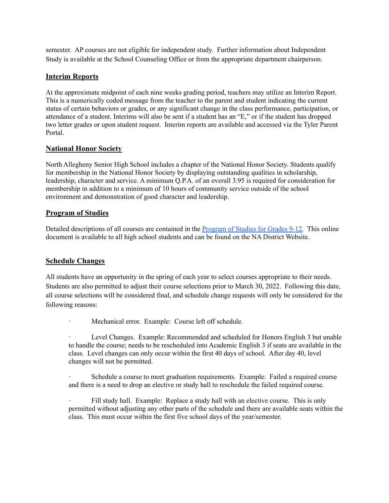semester. AP courses are not eligible for independent study. Further information about Independent Study is available at the School Counseling Office or from the appropriate department chairperson.

# **Interim Reports**

At the approximate midpoint of each nine weeks grading period, teachers may utilize an Interim Report. This is a numerically coded message from the teacher to the parent and student indicating the current status of certain behaviors or grades, or any significant change in the class performance, participation, or attendance of a student. Interims will also be sent if a student has an "E," or if the student has dropped two letter grades or upon student request. Interim reports are available and accessed via the Tyler Parent Portal.

# **National Honor Society**

North Allegheny Senior High School includes a chapter of the National Honor Society. Students qualify for membership in the National Honor Society by displaying outstanding qualities in scholarship, leadership, character and service. A minimum Q.P.A. of an overall 3.95 is required for consideration for membership in addition to a minimum of 10 hours of community service outside of the school environment and demonstration of good character and leadership.

# **Program of Studies**

Detailed descriptions of all courses are contained in the [Program](https://www.northallegheny.org/site/default.aspx?PageType=3&DomainID=1228&ModuleInstanceID=4174&ViewID=6446EE88-D30C-497E-9316-3F8874B3E108&RenderLoc=0&FlexDataID=56498&PageID=7395&Comments=true) of Studies for Grades 9-12. This online document is available to all high school students and can be found on the NA District Website.

# **Schedule Changes**

All students have an opportunity in the spring of each year to select courses appropriate to their needs. Students are also permitted to adjust their course selections prior to March 30, 2022. Following this date, all course selections will be considered final, and schedule change requests will only be considered for the following reasons:

Mechanical error. Example: Course left off schedule.

Level Changes. Example: Recommended and scheduled for Honors English 3 but unable to handle the course; needs to be rescheduled into Academic English 3 if seats are available in the class. Level changes can only occur within the first 40 days of school. After day 40, level changes will not be permitted.

Schedule a course to meet graduation requirements. Example: Failed a required course and there is a need to drop an elective or study hall to reschedule the failed required course.

Fill study hall. Example: Replace a study hall with an elective course. This is only permitted without adjusting any other parts of the schedule and there are available seats within the class. This must occur within the first five school days of the year/semester.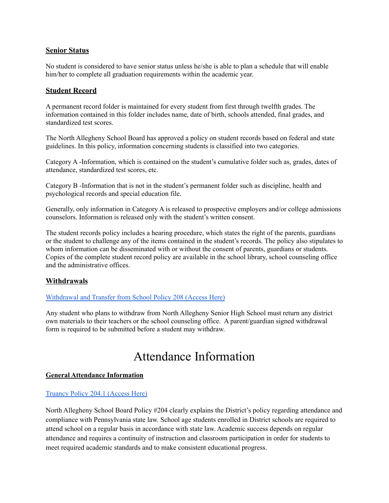### **Senior Status**

No student is considered to have senior status unless he/she is able to plan a schedule that will enable him/her to complete all graduation requirements within the academic year.

# **Student Record**

A permanent record folder is maintained for every student from first through twelfth grades. The information contained in this folder includes name, date of birth, schools attended, final grades, and standardized test scores.

The North Allegheny School Board has approved a policy on student records based on federal and state guidelines. In this policy, information concerning students is classified into two categories.

Category A -Information, which is contained on the student's cumulative folder such as, grades, dates of attendance, standardized test scores, etc.

Category B -Information that is not in the student's permanent folder such as discipline, health and psychological records and special education file.

Generally, only information in Category A is released to prospective employers and/or college admissions counselors. Information is released only with the student's written consent.

The student records policy includes a hearing procedure, which states the right of the parents, guardians or the student to challenge any of the items contained in the student's records. The policy also stipulates to whom information can be disseminated with or without the consent of parents, guardians or students. Copies of the complete student record policy are available in the school library, school counseling office and the administrative offices.

### **Withdrawals**

#### [Withdrawal](https://www.northallegheny.org/cms/lib9/PA01001119/Centricity/Domain/2184/208-WithdrawalAndTransferFromSchool_170322.pdf) and Transfer from School Policy 208 (Access Here)

Any student who plans to withdraw from North Allegheny Senior High School must return any district own materials to their teachers or the school counseling office. A parent/guardian signed withdrawal form is required to be submitted before a student may withdraw.

# Attendance Information

#### **General Attendance Information**

#### [Truancy](https://www.northallegheny.org/cms/lib9/PA01001119/Centricity/Domain/2184/204.1%20-%20Truancy.pdf) Policy 204.1 (Access Here)

North Allegheny School Board Policy #204 clearly explains the District's policy regarding attendance and compliance with Pennsylvania state law. School age students enrolled in District schools are required to attend school on a regular basis in accordance with state law. Academic success depends on regular attendance and requires a continuity of instruction and classroom participation in order for students to meet required academic standards and to make consistent educational progress.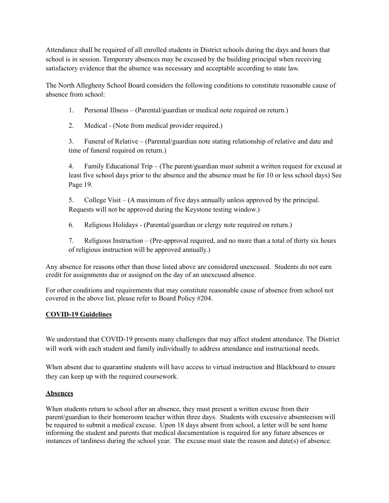Attendance shall be required of all enrolled students in District schools during the days and hours that school is in session. Temporary absences may be excused by the building principal when receiving satisfactory evidence that the absence was necessary and acceptable according to state law.

The North Allegheny School Board considers the following conditions to constitute reasonable cause of absence from school:

- 1. Personal Illness (Parental/guardian or medical note required on return.)
- 2. Medical (Note from medical provider required.)

3. Funeral of Relative – (Parental/guardian note stating relationship of relative and date and time of funeral required on return.)

4. Family Educational Trip – (The parent/guardian must submit a written request for excusal at least five school days prior to the absence and the absence must be for 10 or less school days) See Page 19.

5. College Visit – (A maximum of five days annually unless approved by the principal. Requests will not be approved during the Keystone testing window.)

6. Religious Holidays - (Parental/guardian or clergy note required on return.)

7. Religious Instruction – (Pre-approval required, and no more than a total of thirty six hours of religious instruction will be approved annually.)

Any absence for reasons other than those listed above are considered unexcused. Students do not earn credit for assignments due or assigned on the day of an unexcused absence.

For other conditions and requirements that may constitute reasonable cause of absence from school not covered in the above list, please refer to Board Policy #204.

### **COVID-19 Guidelines**

We understand that COVID-19 presents many challenges that may affect student attendance. The District will work with each student and family individually to address attendance and instructional needs.

When absent due to quarantine students will have access to virtual instruction and Blackboard to ensure they can keep up with the required coursework.

### **Absences**

When students return to school after an absence, they must present a written excuse from their parent/guardian to their homeroom teacher within three days. Students with excessive absenteeism will be required to submit a medical excuse. Upon 18 days absent from school, a letter will be sent home informing the student and parents that medical documentation is required for any future absences or instances of tardiness during the school year. The excuse must state the reason and date(s) of absence.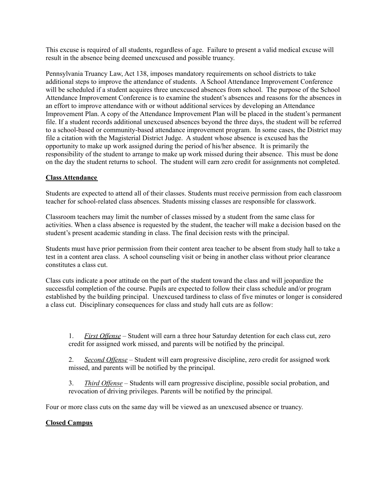This excuse is required of all students, regardless of age. Failure to present a valid medical excuse will result in the absence being deemed unexcused and possible truancy.

Pennsylvania Truancy Law, Act 138, imposes mandatory requirements on school districts to take additional steps to improve the attendance of students. A School Attendance Improvement Conference will be scheduled if a student acquires three unexcused absences from school. The purpose of the School Attendance Improvement Conference is to examine the student's absences and reasons for the absences in an effort to improve attendance with or without additional services by developing an Attendance Improvement Plan. A copy of the Attendance Improvement Plan will be placed in the student's permanent file. If a student records additional unexcused absences beyond the three days, the student will be referred to a school-based or community-based attendance improvement program. In some cases, the District may file a citation with the Magisterial District Judge. A student whose absence is excused has the opportunity to make up work assigned during the period of his/her absence. It is primarily the responsibility of the student to arrange to make up work missed during their absence. This must be done on the day the student returns to school. The student will earn zero credit for assignments not completed.

#### **Class Attendance**

Students are expected to attend all of their classes. Students must receive permission from each classroom teacher for school-related class absences. Students missing classes are responsible for classwork.

Classroom teachers may limit the number of classes missed by a student from the same class for activities. When a class absence is requested by the student, the teacher will make a decision based on the student's present academic standing in class. The final decision rests with the principal.

Students must have prior permission from their content area teacher to be absent from study hall to take a test in a content area class. A school counseling visit or being in another class without prior clearance constitutes a class cut.

Class cuts indicate a poor attitude on the part of the student toward the class and will jeopardize the successful completion of the course. Pupils are expected to follow their class schedule and/or program established by the building principal. Unexcused tardiness to class of five minutes or longer is considered a class cut. Disciplinary consequences for class and study hall cuts are as follow:

1. *First Of ense* – Student will earn a three hour Saturday detention for each class cut, zero credit for assigned work missed, and parents will be notified by the principal.

2. *Second Offense* – Student will earn progressive discipline, zero credit for assigned work missed, and parents will be notified by the principal.

3. *Third Offense* – Students will earn progressive discipline, possible social probation, and revocation of driving privileges. Parents will be notified by the principal.

Four or more class cuts on the same day will be viewed as an unexcused absence or truancy.

### **Closed Campus**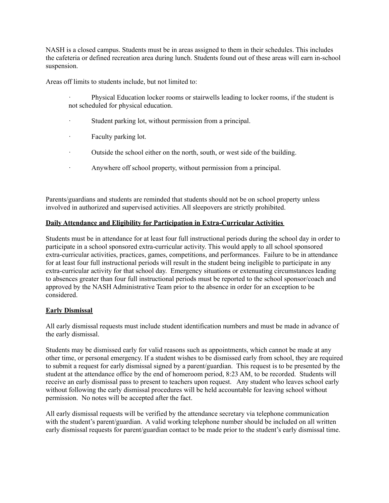NASH is a closed campus. Students must be in areas assigned to them in their schedules. This includes the cafeteria or defined recreation area during lunch. Students found out of these areas will earn in-school suspension.

Areas off limits to students include, but not limited to:

- · Physical Education locker rooms or stairwells leading to locker rooms, if the student is not scheduled for physical education.
- · Student parking lot, without permission from a principal.
- · Faculty parking lot.
- · Outside the school either on the north, south, or west side of the building.
- · Anywhere off school property, without permission from a principal.

Parents/guardians and students are reminded that students should not be on school property unless involved in authorized and supervised activities. All sleepovers are strictly prohibited.

#### **Daily Attendance and Eligibility for Participation in Extra-Curricular Activities**

Students must be in attendance for at least four full instructional periods during the school day in order to participate in a school sponsored extra-curricular activity. This would apply to all school sponsored extra-curricular activities, practices, games, competitions, and performances. Failure to be in attendance for at least four full instructional periods will result in the student being ineligible to participate in any extra-curricular activity for that school day. Emergency situations or extenuating circumstances leading to absences greater than four full instructional periods must be reported to the school sponsor/coach and approved by the NASH Administrative Team prior to the absence in order for an exception to be considered.

#### **Early Dismissal**

All early dismissal requests must include student identification numbers and must be made in advance of the early dismissal.

Students may be dismissed early for valid reasons such as appointments, which cannot be made at any other time, or personal emergency. If a student wishes to be dismissed early from school, they are required to submit a request for early dismissal signed by a parent/guardian. This request is to be presented by the student at the attendance office by the end of homeroom period, 8:23 AM, to be recorded. Students will receive an early dismissal pass to present to teachers upon request. Any student who leaves school early without following the early dismissal procedures will be held accountable for leaving school without permission. No notes will be accepted after the fact.

All early dismissal requests will be verified by the attendance secretary via telephone communication with the student's parent/guardian. A valid working telephone number should be included on all written early dismissal requests for parent/guardian contact to be made prior to the student's early dismissal time.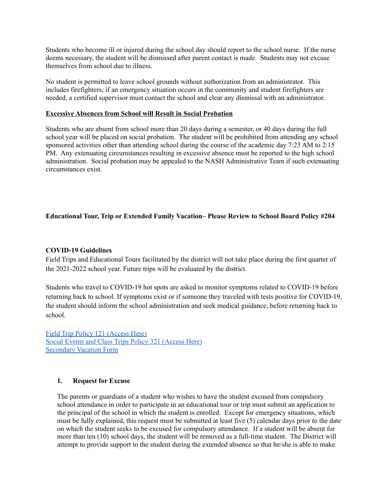Students who become ill or injured during the school day should report to the school nurse. If the nurse deems necessary, the student will be dismissed after parent contact is made. Students may not excuse themselves from school due to illness.

No student is permitted to leave school grounds without authorization from an administrator. This includes firefighters; if an emergency situation occurs in the community and student firefighters are needed, a certified supervisor must contact the school and clear any dismissal with an administrator.

#### **Excessive Absences from School will Result in Social Probation**

Students who are absent from school more than 20 days during a semester, or 40 days during the full school year will be placed on social probation. The student will be prohibited from attending any school sponsored activities other than attending school during the course of the academic day 7:23 AM to 2:15 PM. Any extenuating circumstances resulting in excessive absence must be reported to the high school administration. Social probation may be appealed to the NASH Administrative Team if such extenuating circumstances exist.

#### **Educational Tour, Trip or Extended Family Vacation– Please Review to School Board Policy #204**

#### **COVID-19 Guidelines**

Field Trips and Educational Tours facilitated by the district will not take place during the first quarter of the 2021-2022 school year. Future trips will be evaluated by the district.

Students who travel to COVID-19 hot spots are asked to monitor symptoms related to COVID-19 before returning back to school. If symptoms exist or if someone they traveled with tests positive for COVID-19, the student should inform the school administration and seek medical guidance, before returning back to school.

Field Trip Policy 121 [\(Access](https://www.northallegheny.org/cms/lib9/PA01001119/Centricity/Domain/2184/121%20-%20Field%20Trips.pdf) Here) Social Events and Class Trips Policy 321 [\(Access](https://www.northallegheny.org/cms/lib9/PA01001119/Centricity/Domain/2184/121%20-%20Field%20Trips.pdf) Here) [Secondary](https://www.northallegheny.org/cms/lib/PA01001119/Centricity/Domain/1970/170120_SecondaryStudentApplicationForEducationalTourOrTrip.pdf) Vacation Form

#### **1. Request for Excuse**

The parents or guardians of a student who wishes to have the student excused from compulsory school attendance in order to participate in an educational tour or trip must submit an application to the principal of the school in which the student is enrolled. Except for emergency situations, which must be fully explained, this request must be submitted at least five (5) calendar days prior to the date on which the student seeks to be excused for compulsory attendance. If a student will be absent for more than ten (10) school days, the student will be removed as a full-time student. The District will attempt to provide support to the student during the extended absence so that he/she is able to make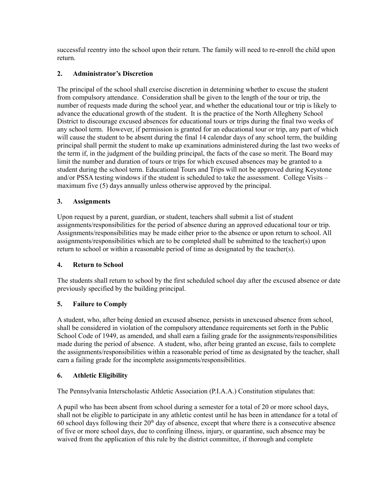successful reentry into the school upon their return. The family will need to re-enroll the child upon return.

# **2. Administrator's Discretion**

The principal of the school shall exercise discretion in determining whether to excuse the student from compulsory attendance. Consideration shall be given to the length of the tour or trip, the number of requests made during the school year, and whether the educational tour or trip is likely to advance the educational growth of the student. It is the practice of the North Allegheny School District to discourage excused absences for educational tours or trips during the final two weeks of any school term. However, if permission is granted for an educational tour or trip, any part of which will cause the student to be absent during the final 14 calendar days of any school term, the building principal shall permit the student to make up examinations administered during the last two weeks of the term if, in the judgment of the building principal, the facts of the case so merit. The Board may limit the number and duration of tours or trips for which excused absences may be granted to a student during the school term. Educational Tours and Trips will not be approved during Keystone and/or PSSA testing windows if the student is scheduled to take the assessment. College Visits – maximum five (5) days annually unless otherwise approved by the principal.

### **3. Assignments**

Upon request by a parent, guardian, or student, teachers shall submit a list of student assignments/responsibilities for the period of absence during an approved educational tour or trip. Assignments/responsibilities may be made either prior to the absence or upon return to school. All assignments/responsibilities which are to be completed shall be submitted to the teacher(s) upon return to school or within a reasonable period of time as designated by the teacher(s).

### **4. Return to School**

The students shall return to school by the first scheduled school day after the excused absence or date previously specified by the building principal.

### **5. Failure to Comply**

A student, who, after being denied an excused absence, persists in unexcused absence from school, shall be considered in violation of the compulsory attendance requirements set forth in the Public School Code of 1949, as amended, and shall earn a failing grade for the assignments/responsibilities made during the period of absence. A student, who, after being granted an excuse, fails to complete the assignments/responsibilities within a reasonable period of time as designated by the teacher, shall earn a failing grade for the incomplete assignments/responsibilities.

### **6. Athletic Eligibility**

The Pennsylvania Interscholastic Athletic Association (P.I.A.A.) Constitution stipulates that:

A pupil who has been absent from school during a semester for a total of 20 or more school days, shall not be eligible to participate in any athletic contest until he has been in attendance for a total of 60 school days following their  $20<sup>th</sup>$  day of absence, except that where there is a consecutive absence of five or more school days, due to confining illness, injury, or quarantine, such absence may be waived from the application of this rule by the district committee, if thorough and complete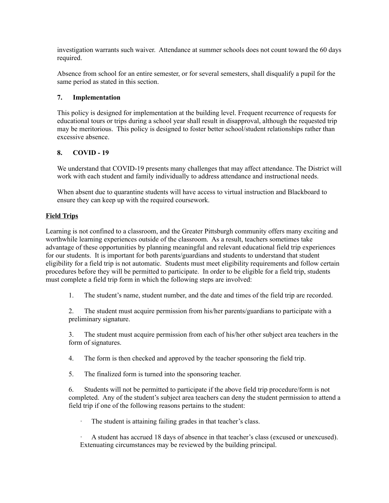investigation warrants such waiver. Attendance at summer schools does not count toward the 60 days required.

Absence from school for an entire semester, or for several semesters, shall disqualify a pupil for the same period as stated in this section.

#### **7. Implementation**

This policy is designed for implementation at the building level. Frequent recurrence of requests for educational tours or trips during a school year shall result in disapproval, although the requested trip may be meritorious. This policy is designed to foster better school/student relationships rather than excessive absence.

### **8. COVID - 19**

We understand that COVID-19 presents many challenges that may affect attendance. The District will work with each student and family individually to address attendance and instructional needs.

When absent due to quarantine students will have access to virtual instruction and Blackboard to ensure they can keep up with the required coursework.

### **Field Trips**

Learning is not confined to a classroom, and the Greater Pittsburgh community offers many exciting and worthwhile learning experiences outside of the classroom. As a result, teachers sometimes take advantage of these opportunities by planning meaningful and relevant educational field trip experiences for our students. It is important for both parents/guardians and students to understand that student eligibility for a field trip is not automatic. Students must meet eligibility requirements and follow certain procedures before they will be permitted to participate. In order to be eligible for a field trip, students must complete a field trip form in which the following steps are involved:

1. The student's name, student number, and the date and times of the field trip are recorded.

2. The student must acquire permission from his/her parents/guardians to participate with a preliminary signature.

3. The student must acquire permission from each of his/her other subject area teachers in the form of signatures.

4. The form is then checked and approved by the teacher sponsoring the field trip.

5. The finalized form is turned into the sponsoring teacher.

6. Students will not be permitted to participate if the above field trip procedure/form is not completed. Any of the student's subject area teachers can deny the student permission to attend a field trip if one of the following reasons pertains to the student:

· The student is attaining failing grades in that teacher's class.

· A student has accrued 18 days of absence in that teacher's class (excused or unexcused). Extenuating circumstances may be reviewed by the building principal.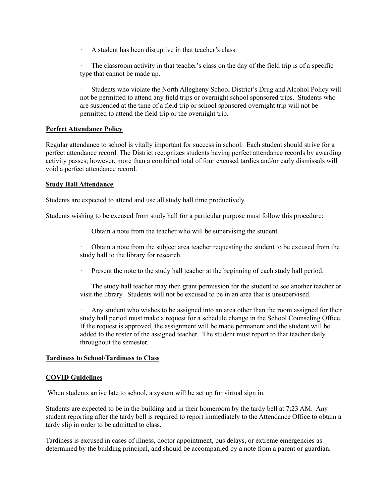· A student has been disruptive in that teacher's class.

The classroom activity in that teacher's class on the day of the field trip is of a specific type that cannot be made up.

· Students who violate the North Allegheny School District's Drug and Alcohol Policy will not be permitted to attend any field trips or overnight school sponsored trips. Students who are suspended at the time of a field trip or school sponsored overnight trip will not be permitted to attend the field trip or the overnight trip.

#### **Perfect Attendance Policy**

Regular attendance to school is vitally important for success in school. Each student should strive for a perfect attendance record. The District recognizes students having perfect attendance records by awarding activity passes; however, more than a combined total of four excused tardies and/or early dismissals will void a perfect attendance record.

#### **Study Hall Attendance**

Students are expected to attend and use all study hall time productively.

Students wishing to be excused from study hall for a particular purpose must follow this procedure:

- · Obtain a note from the teacher who will be supervising the student.
- · Obtain a note from the subject area teacher requesting the student to be excused from the study hall to the library for research.
- · Present the note to the study hall teacher at the beginning of each study hall period.

The study hall teacher may then grant permission for the student to see another teacher or visit the library. Students will not be excused to be in an area that is unsupervised.

Any student who wishes to be assigned into an area other than the room assigned for their study hall period must make a request for a schedule change in the School Counseling Office. If the request is approved, the assignment will be made permanent and the student will be added to the roster of the assigned teacher. The student must report to that teacher daily throughout the semester.

#### **Tardiness to School/Tardiness to Class**

#### **COVID Guidelines**

When students arrive late to school, a system will be set up for virtual sign in.

Students are expected to be in the building and in their homeroom by the tardy bell at 7:23 AM. Any student reporting after the tardy bell is required to report immediately to the Attendance Office to obtain a tardy slip in order to be admitted to class.

Tardiness is excused in cases of illness, doctor appointment, bus delays, or extreme emergencies as determined by the building principal, and should be accompanied by a note from a parent or guardian.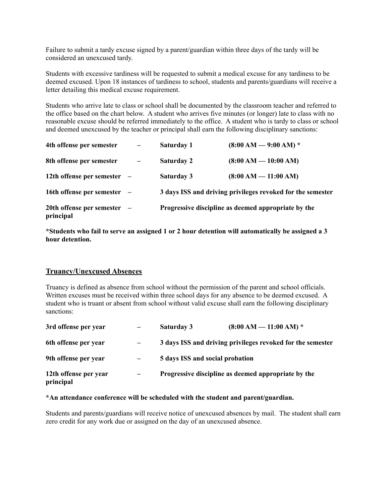Failure to submit a tardy excuse signed by a parent/guardian within three days of the tardy will be considered an unexcused tardy.

Students with excessive tardiness will be requested to submit a medical excuse for any tardiness to be deemed excused. Upon 18 instances of tardiness to school, students and parents/guardians will receive a letter detailing this medical excuse requirement.

Students who arrive late to class or school shall be documented by the classroom teacher and referred to the office based on the chart below. A student who arrives five minutes (or longer) late to class with no reasonable excuse should be referred immediately to the office. A student who is tardy to class or school and deemed unexcused by the teacher or principal shall earn the following disciplinary sanctions:

| 4th offense per semester               | $\overline{\phantom{m}}$ | Saturday 1                                                 | $(8:00 AM - 9:00 AM)^*$ |
|----------------------------------------|--------------------------|------------------------------------------------------------|-------------------------|
| 8th offense per semester               |                          | <b>Saturday 2</b>                                          | $(8:00 AM - 10:00 AM)$  |
| 12th offense per semester              |                          | Saturday 3                                                 | $(8:00 AM - 11:00 AM)$  |
| 16th offense per semester              |                          | 3 days ISS and driving privileges revoked for the semester |                         |
| 20th offense per semester<br>principal |                          | Progressive discipline as deemed appropriate by the        |                         |

**\*Students who fail to serve an assigned 1 or 2 hour detention will automatically be assigned a 3 hour detention.**

#### **Truancy/Unexcused Absences**

Truancy is defined as absence from school without the permission of the parent and school officials. Written excuses must be received within three school days for any absence to be deemed excused. A student who is truant or absent from school without valid excuse shall earn the following disciplinary sanctions:

| 3rd offense per year               |                          | <b>Saturday 3</b>                                          | $(8:00 AM - 11:00 AM)$ * |
|------------------------------------|--------------------------|------------------------------------------------------------|--------------------------|
| 6th offense per year               | $\overline{\phantom{0}}$ | 3 days ISS and driving privileges revoked for the semester |                          |
| 9th offense per year               | —                        | 5 days ISS and social probation                            |                          |
| 12th offense per year<br>principal | —                        | Progressive discipline as deemed appropriate by the        |                          |

#### **\*An attendance conference will be scheduled with the student and parent/guardian.**

Students and parents/guardians will receive notice of unexcused absences by mail. The student shall earn zero credit for any work due or assigned on the day of an unexcused absence.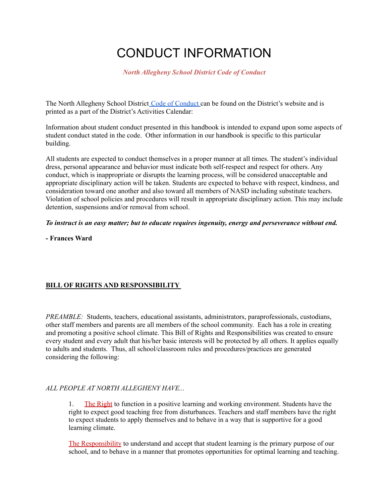# CONDUCT INFORMATION

*North Allegheny School District Code of Conduct*

The North Allegheny School District Code of [Conduct](https://www.northallegheny.org/codeofconduct) can be found on the District's website and is printed as a part of the District's Activities Calendar:

Information about student conduct presented in this handbook is intended to expand upon some aspects of student conduct stated in the code. Other information in our handbook is specific to this particular building.

All students are expected to conduct themselves in a proper manner at all times. The student's individual dress, personal appearance and behavior must indicate both self-respect and respect for others. Any conduct, which is inappropriate or disrupts the learning process, will be considered unacceptable and appropriate disciplinary action will be taken. Students are expected to behave with respect, kindness, and consideration toward one another and also toward all members of NASD including substitute teachers. Violation of school policies and procedures will result in appropriate disciplinary action. This may include detention, suspensions and/or removal from school.

#### *To instruct is an easy matter; but to educate requires ingenuity, energy and perseverance without end.*

**- Frances Ward**

# **BILL OF RIGHTS AND RESPONSIBILITY**

*PREAMBLE:* Students, teachers, educational assistants, administrators, paraprofessionals, custodians, other staff members and parents are all members of the school community. Each has a role in creating and promoting a positive school climate. This Bill of Rights and Responsibilities was created to ensure every student and every adult that his/her basic interests will be protected by all others. It applies equally to adults and students. Thus, all school/classroom rules and procedures/practices are generated considering the following:

### *ALL PEOPLE AT NORTH ALLEGHENY HAVE...*

1. The Right to function in a positive learning and working environment. Students have the right to expect good teaching free from disturbances. Teachers and staff members have the right to expect students to apply themselves and to behave in a way that is supportive for a good learning climate.

The Responsibility to understand and accept that student learning is the primary purpose of our school, and to behave in a manner that promotes opportunities for optimal learning and teaching.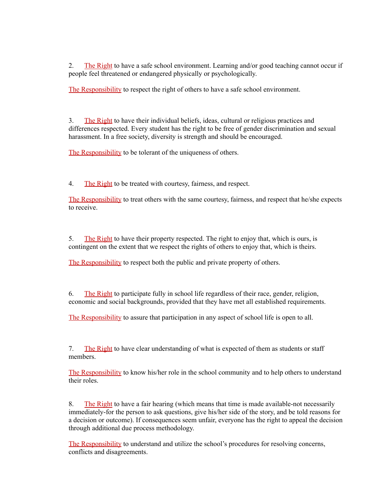2. The Right to have a safe school environment. Learning and/or good teaching cannot occur if people feel threatened or endangered physically or psychologically.

The Responsibility to respect the right of others to have a safe school environment.

3. The Right to have their individual beliefs, ideas, cultural or religious practices and differences respected. Every student has the right to be free of gender discrimination and sexual harassment. In a free society, diversity is strength and should be encouraged.

The Responsibility to be tolerant of the uniqueness of others.

4. The Right to be treated with courtesy, fairness, and respect.

The Responsibility to treat others with the same courtesy, fairness, and respect that he/she expects to receive.

5. The Right to have their property respected. The right to enjoy that, which is ours, is contingent on the extent that we respect the rights of others to enjoy that, which is theirs.

The Responsibility to respect both the public and private property of others.

6. The Right to participate fully in school life regardless of their race, gender, religion, economic and social backgrounds, provided that they have met all established requirements.

The Responsibility to assure that participation in any aspect of school life is open to all.

7. The Right to have clear understanding of what is expected of them as students or staff members.

The Responsibility to know his/her role in the school community and to help others to understand their roles.

8. The Right to have a fair hearing (which means that time is made available-not necessarily immediately-for the person to ask questions, give his/her side of the story, and be told reasons for a decision or outcome). If consequences seem unfair, everyone has the right to appeal the decision through additional due process methodology.

The Responsibility to understand and utilize the school's procedures for resolving concerns, conflicts and disagreements.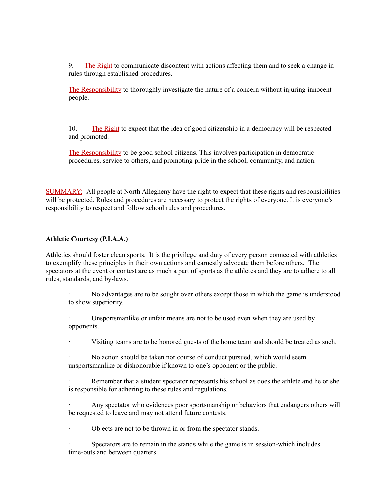9. The Right to communicate discontent with actions affecting them and to seek a change in rules through established procedures.

The Responsibility to thoroughly investigate the nature of a concern without injuring innocent people.

10. The Right to expect that the idea of good citizenship in a democracy will be respected and promoted.

The Responsibility to be good school citizens. This involves participation in democratic procedures, service to others, and promoting pride in the school, community, and nation.

SUMMARY: All people at North Allegheny have the right to expect that these rights and responsibilities will be protected. Rules and procedures are necessary to protect the rights of everyone. It is everyone's responsibility to respect and follow school rules and procedures.

#### **Athletic Courtesy (P.I.A.A.)**

Athletics should foster clean sports. It is the privilege and duty of every person connected with athletics to exemplify these principles in their own actions and earnestly advocate them before others. The spectators at the event or contest are as much a part of sports as the athletes and they are to adhere to all rules, standards, and by-laws.

· No advantages are to be sought over others except those in which the game is understood to show superiority.

Unsportsmanlike or unfair means are not to be used even when they are used by opponents.

· Visiting teams are to be honored guests of the home team and should be treated as such.

No action should be taken nor course of conduct pursued, which would seem unsportsmanlike or dishonorable if known to one's opponent or the public.

Remember that a student spectator represents his school as does the athlete and he or she is responsible for adhering to these rules and regulations.

Any spectator who evidences poor sportsmanship or behaviors that endangers others will be requested to leave and may not attend future contests.

· Objects are not to be thrown in or from the spectator stands.

Spectators are to remain in the stands while the game is in session-which includes time-outs and between quarters.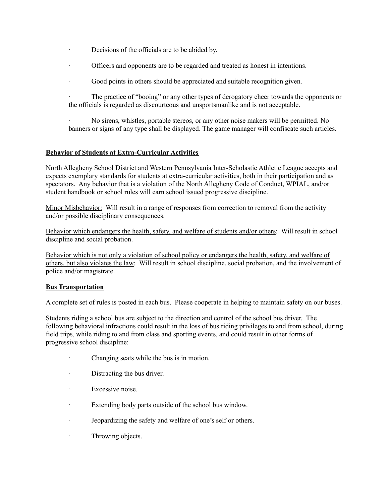- · Decisions of the officials are to be abided by.
- · Officers and opponents are to be regarded and treated as honest in intentions.
- · Good points in others should be appreciated and suitable recognition given.

· The practice of "booing" or any other types of derogatory cheer towards the opponents or the officials is regarded as discourteous and unsportsmanlike and is not acceptable.

· No sirens, whistles, portable stereos, or any other noise makers will be permitted. No banners or signs of any type shall be displayed. The game manager will confiscate such articles.

#### **Behavior of Students at Extra-Curricular Activities**

North Allegheny School District and Western Pennsylvania Inter-Scholastic Athletic League accepts and expects exemplary standards for students at extra-curricular activities, both in their participation and as spectators. Any behavior that is a violation of the North Allegheny Code of Conduct, WPIAL, and/or student handbook or school rules will earn school issued progressive discipline.

Minor Misbehavior: Will result in a range of responses from correction to removal from the activity and/or possible disciplinary consequences.

Behavior which endangers the health, safety, and welfare of students and/or others: Will result in school discipline and social probation.

Behavior which is not only a violation of school policy or endangers the health, safety, and welfare of others, but also violates the law: Will result in school discipline, social probation, and the involvement of police and/or magistrate.

#### **Bus Transportation**

A complete set of rules is posted in each bus. Please cooperate in helping to maintain safety on our buses.

Students riding a school bus are subject to the direction and control of the school bus driver. The following behavioral infractions could result in the loss of bus riding privileges to and from school, during field trips, while riding to and from class and sporting events, and could result in other forms of progressive school discipline:

- · Changing seats while the bus is in motion.
- · Distracting the bus driver.
- · Excessive noise.
- · Extending body parts outside of the school bus window.
- · Jeopardizing the safety and welfare of one's self or others.
- · Throwing objects.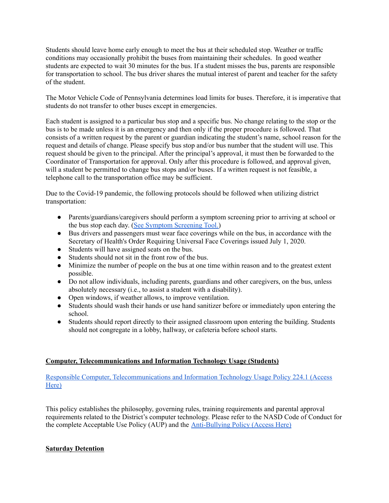Students should leave home early enough to meet the bus at their scheduled stop. Weather or traffic conditions may occasionally prohibit the buses from maintaining their schedules. In good weather students are expected to wait 30 minutes for the bus. If a student misses the bus, parents are responsible for transportation to school. The bus driver shares the mutual interest of parent and teacher for the safety of the student.

The Motor Vehicle Code of Pennsylvania determines load limits for buses. Therefore, it is imperative that students do not transfer to other buses except in emergencies.

Each student is assigned to a particular bus stop and a specific bus. No change relating to the stop or the bus is to be made unless it is an emergency and then only if the proper procedure is followed. That consists of a written request by the parent or guardian indicating the student's name, school reason for the request and details of change. Please specify bus stop and/or bus number that the student will use. This request should be given to the principal. After the principal's approval, it must then be forwarded to the Coordinator of Transportation for approval. Only after this procedure is followed, and approval given, will a student be permitted to change bus stops and/or buses. If a written request is not feasible, a telephone call to the transportation office may be sufficient.

Due to the Covid-19 pandemic, the following protocols should be followed when utilizing district transportation:

- Parents/guardians/caregivers should perform a symptom screening prior to arriving at school or the bus stop each day. (See Symptom [Screening](https://www.education.pa.gov/Schools/safeschools/emergencyplanning/COVID-19/SchoolReopeningGuidance/ReopeningPreKto12/PublicHealthGuidance/Pages/default.aspx#screening) Tool.)
- Bus drivers and passengers must wear face coverings while on the bus, in accordance with the Secretary of Health's Order Requiring Universal Face Coverings issued July 1, 2020.
- Students will have assigned seats on the bus.
- Students should not sit in the front row of the bus.
- Minimize the number of people on the bus at one time within reason and to the greatest extent possible.
- Do not allow individuals, including parents, guardians and other caregivers, on the bus, unless absolutely necessary (i.e., to assist a student with a disability).
- Open windows, if weather allows, to improve ventilation.
- Students should wash their hands or use hand sanitizer before or immediately upon entering the school.
- Students should report directly to their assigned classroom upon entering the building. Students should not congregate in a lobby, hallway, or cafeteria before school starts.

### **Computer, Telecommunications and Information Technology Usage (Students)**

Responsible Computer, [Telecommunications](https://www.northallegheny.org/cms/lib9/PA01001119/Centricity/Domain/2184/224.1%20-%20Responsible%20Computer%20Telecommunications%20and%20Information%20Technology%20Use.pdf) and Information Technology Usage Policy 224.1 (Access [Here\)](https://www.northallegheny.org/cms/lib9/PA01001119/Centricity/Domain/2184/224.1%20-%20Responsible%20Computer%20Telecommunications%20and%20Information%20Technology%20Use.pdf)

This policy establishes the philosophy, governing rules, training requirements and parental approval requirements related to the District's computer technology. Please refer to the NASD Code of Conduct for the complete Acceptable Use Policy (AUP) and the [Anti-Bullying](https://www.northallegheny.org/cms/lib/PA01001119/Centricity/Domain/2184/249-Anti-Bullying.pdf) Policy (Access Here)

### **Saturday Detention**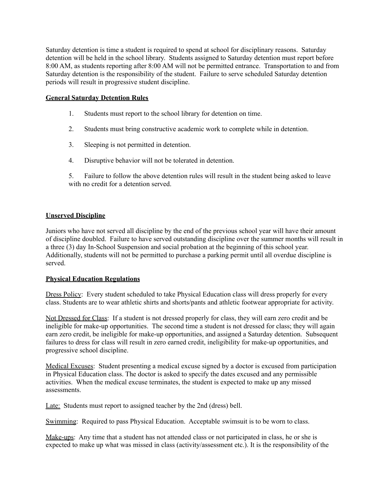Saturday detention is time a student is required to spend at school for disciplinary reasons. Saturday detention will be held in the school library. Students assigned to Saturday detention must report before 8:00 AM, as students reporting after 8:00 AM will not be permitted entrance. Transportation to and from Saturday detention is the responsibility of the student. Failure to serve scheduled Saturday detention periods will result in progressive student discipline.

#### **General Saturday Detention Rules**

- 1. Students must report to the school library for detention on time.
- 2. Students must bring constructive academic work to complete while in detention.
- 3. Sleeping is not permitted in detention.
- 4. Disruptive behavior will not be tolerated in detention.

5. Failure to follow the above detention rules will result in the student being asked to leave with no credit for a detention served.

#### **Unserved Discipline**

Juniors who have not served all discipline by the end of the previous school year will have their amount of discipline doubled. Failure to have served outstanding discipline over the summer months will result in a three (3) day In-School Suspension and social probation at the beginning of this school year. Additionally, students will not be permitted to purchase a parking permit until all overdue discipline is served.

#### **Physical Education Regulations**

Dress Policy: Every student scheduled to take Physical Education class will dress properly for every class. Students are to wear athletic shirts and shorts/pants and athletic footwear appropriate for activity.

Not Dressed for Class: If a student is not dressed properly for class, they will earn zero credit and be ineligible for make-up opportunities. The second time a student is not dressed for class; they will again earn zero credit, be ineligible for make-up opportunities, and assigned a Saturday detention. Subsequent failures to dress for class will result in zero earned credit, ineligibility for make-up opportunities, and progressive school discipline.

Medical Excuses: Student presenting a medical excuse signed by a doctor is excused from participation in Physical Education class. The doctor is asked to specify the dates excused and any permissible activities. When the medical excuse terminates, the student is expected to make up any missed assessments.

Late: Students must report to assigned teacher by the 2nd (dress) bell.

Swimming: Required to pass Physical Education. Acceptable swimsuit is to be worn to class.

Make-ups: Any time that a student has not attended class or not participated in class, he or she is expected to make up what was missed in class (activity/assessment etc.). It is the responsibility of the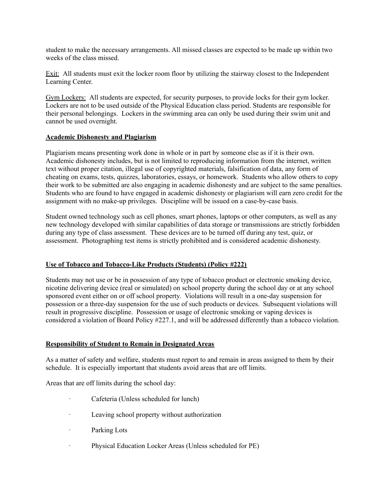student to make the necessary arrangements. All missed classes are expected to be made up within two weeks of the class missed.

Exit: All students must exit the locker room floor by utilizing the stairway closest to the Independent Learning Center.

Gym Lockers: All students are expected, for security purposes, to provide locks for their gym locker. Lockers are not to be used outside of the Physical Education class period. Students are responsible for their personal belongings. Lockers in the swimming area can only be used during their swim unit and cannot be used overnight.

#### **Academic Dishonesty and Plagiarism**

Plagiarism means presenting work done in whole or in part by someone else as if it is their own. Academic dishonesty includes, but is not limited to reproducing information from the internet, written text without proper citation, illegal use of copyrighted materials, falsification of data, any form of cheating on exams, tests, quizzes, laboratories, essays, or homework. Students who allow others to copy their work to be submitted are also engaging in academic dishonesty and are subject to the same penalties. Students who are found to have engaged in academic dishonesty or plagiarism will earn zero credit for the assignment with no make-up privileges. Discipline will be issued on a case-by-case basis.

Student owned technology such as cell phones, smart phones, laptops or other computers, as well as any new technology developed with similar capabilities of data storage or transmissions are strictly forbidden during any type of class assessment. These devices are to be turned off during any test, quiz, or assessment. Photographing test items is strictly prohibited and is considered academic dishonesty.

#### **Use of Tobacco and Tobacco-Like Products (Students) (Policy #222)**

Students may not use or be in possession of any type of tobacco product or electronic smoking device, nicotine delivering device (real or simulated) on school property during the school day or at any school sponsored event either on or off school property. Violations will result in a one-day suspension for possession or a three-day suspension for the use of such products or devices. Subsequent violations will result in progressive discipline. Possession or usage of electronic smoking or vaping devices is considered a violation of Board Policy #227.1, and will be addressed differently than a tobacco violation.

#### **Responsibility of Student to Remain in Designated Areas**

As a matter of safety and welfare, students must report to and remain in areas assigned to them by their schedule. It is especially important that students avoid areas that are off limits.

Areas that are off limits during the school day:

- Cafeteria (Unless scheduled for lunch)
- Leaving school property without authorization
- · Parking Lots
- · Physical Education Locker Areas (Unless scheduled for PE)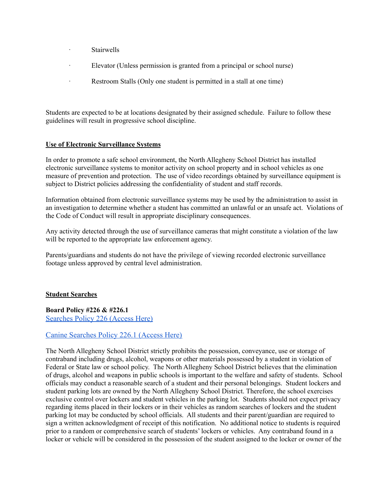- **Stairwells**
- Elevator (Unless permission is granted from a principal or school nurse)
- · Restroom Stalls (Only one student is permitted in a stall at one time)

Students are expected to be at locations designated by their assigned schedule. Failure to follow these guidelines will result in progressive school discipline.

#### **Use of Electronic Surveillance Systems**

In order to promote a safe school environment, the North Allegheny School District has installed electronic surveillance systems to monitor activity on school property and in school vehicles as one measure of prevention and protection. The use of video recordings obtained by surveillance equipment is subject to District policies addressing the confidentiality of student and staff records.

Information obtained from electronic surveillance systems may be used by the administration to assist in an investigation to determine whether a student has committed an unlawful or an unsafe act. Violations of the Code of Conduct will result in appropriate disciplinary consequences.

Any activity detected through the use of surveillance cameras that might constitute a violation of the law will be reported to the appropriate law enforcement agency.

Parents/guardians and students do not have the privilege of viewing recorded electronic surveillance footage unless approved by central level administration.

#### **Student Searches**

**Board Policy #226 & #226.1** [Searches Policy 226 \(Access Here\)](https://www.northallegheny.org/cms/lib/PA01001119/Centricity/Domain/2184/226-Searches_170817.pdf)

### [Canine Searches Policy 226.1 \(Access Here\)](https://www.northallegheny.org/cms/lib/PA01001119/Centricity/Domain/2184/226.1-CanineSearches_170824.pdf)

The North Allegheny School District strictly prohibits the possession, conveyance, use or storage of contraband including drugs, alcohol, weapons or other materials possessed by a student in violation of Federal or State law or school policy. The North Allegheny School District believes that the elimination of drugs, alcohol and weapons in public schools is important to the welfare and safety of students. School officials may conduct a reasonable search of a student and their personal belongings. Student lockers and student parking lots are owned by the North Allegheny School District. Therefore, the school exercises exclusive control over lockers and student vehicles in the parking lot. Students should not expect privacy regarding items placed in their lockers or in their vehicles as random searches of lockers and the student parking lot may be conducted by school officials. All students and their parent/guardian are required to sign a written acknowledgment of receipt of this notification. No additional notice to students is required prior to a random or comprehensive search of students' lockers or vehicles. Any contraband found in a locker or vehicle will be considered in the possession of the student assigned to the locker or owner of the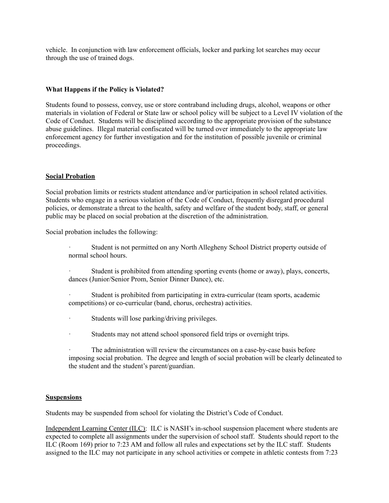vehicle. In conjunction with law enforcement officials, locker and parking lot searches may occur through the use of trained dogs.

#### **What Happens if the Policy is Violated?**

Students found to possess, convey, use or store contraband including drugs, alcohol, weapons or other materials in violation of Federal or State law or school policy will be subject to a Level IV violation of the Code of Conduct. Students will be disciplined according to the appropriate provision of the substance abuse guidelines. Illegal material confiscated will be turned over immediately to the appropriate law enforcement agency for further investigation and for the institution of possible juvenile or criminal proceedings.

#### **Social Probation**

Social probation limits or restricts student attendance and/or participation in school related activities. Students who engage in a serious violation of the Code of Conduct, frequently disregard procedural policies, or demonstrate a threat to the health, safety and welfare of the student body, staff, or general public may be placed on social probation at the discretion of the administration.

Social probation includes the following:

- Student is not permitted on any North Allegheny School District property outside of normal school hours.
- Student is prohibited from attending sporting events (home or away), plays, concerts, dances (Junior/Senior Prom, Senior Dinner Dance), etc.
- Student is prohibited from participating in extra-curricular (team sports, academic competitions) or co-curricular (band, chorus, orchestra) activities.
- Students will lose parking/driving privileges.
- Students may not attend school sponsored field trips or overnight trips.
- The administration will review the circumstances on a case-by-case basis before imposing social probation. The degree and length of social probation will be clearly delineated to the student and the student's parent/guardian.

#### **Suspensions**

Students may be suspended from school for violating the District's Code of Conduct.

Independent Learning Center (ILC): ILC is NASH's in-school suspension placement where students are expected to complete all assignments under the supervision of school staff. Students should report to the ILC (Room 169) prior to 7:23 AM and follow all rules and expectations set by the ILC staff. Students assigned to the ILC may not participate in any school activities or compete in athletic contests from 7:23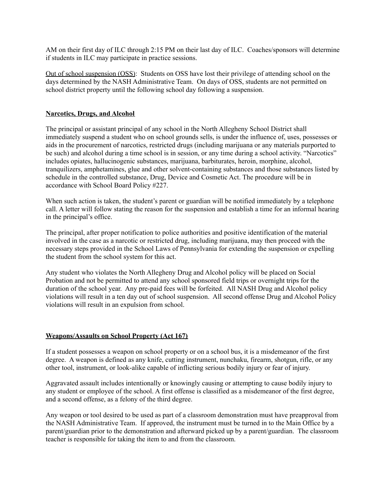AM on their first day of ILC through 2:15 PM on their last day of ILC. Coaches/sponsors will determine if students in ILC may participate in practice sessions.

Out of school suspension (OSS): Students on OSS have lost their privilege of attending school on the days determined by the NASH Administrative Team. On days of OSS, students are not permitted on school district property until the following school day following a suspension.

#### **Narcotics, Drugs, and Alcohol**

The principal or assistant principal of any school in the North Allegheny School District shall immediately suspend a student who on school grounds sells, is under the influence of, uses, possesses or aids in the procurement of narcotics, restricted drugs (including marijuana or any materials purported to be such) and alcohol during a time school is in session, or any time during a school activity. "Narcotics" includes opiates, hallucinogenic substances, marijuana, barbiturates, heroin, morphine, alcohol, tranquilizers, amphetamines, glue and other solvent-containing substances and those substances listed by schedule in the controlled substance, Drug, Device and Cosmetic Act. The procedure will be in accordance with School Board Policy #227.

When such action is taken, the student's parent or guardian will be notified immediately by a telephone call. A letter will follow stating the reason for the suspension and establish a time for an informal hearing in the principal's office.

The principal, after proper notification to police authorities and positive identification of the material involved in the case as a narcotic or restricted drug, including marijuana, may then proceed with the necessary steps provided in the School Laws of Pennsylvania for extending the suspension or expelling the student from the school system for this act.

Any student who violates the North Allegheny Drug and Alcohol policy will be placed on Social Probation and not be permitted to attend any school sponsored field trips or overnight trips for the duration of the school year. Any pre-paid fees will be forfeited. All NASH Drug and Alcohol policy violations will result in a ten day out of school suspension. All second offense Drug and Alcohol Policy violations will result in an expulsion from school.

#### **Weapons/Assaults on School Property (Act 167)**

If a student possesses a weapon on school property or on a school bus, it is a misdemeanor of the first degree. A weapon is defined as any knife, cutting instrument, nunchaku, firearm, shotgun, rifle, or any other tool, instrument, or look-alike capable of inflicting serious bodily injury or fear of injury.

Aggravated assault includes intentionally or knowingly causing or attempting to cause bodily injury to any student or employee of the school. A first offense is classified as a misdemeanor of the first degree, and a second offense, as a felony of the third degree.

Any weapon or tool desired to be used as part of a classroom demonstration must have preapproval from the NASH Administrative Team. If approved, the instrument must be turned in to the Main Office by a parent/guardian prior to the demonstration and afterward picked up by a parent/guardian. The classroom teacher is responsible for taking the item to and from the classroom.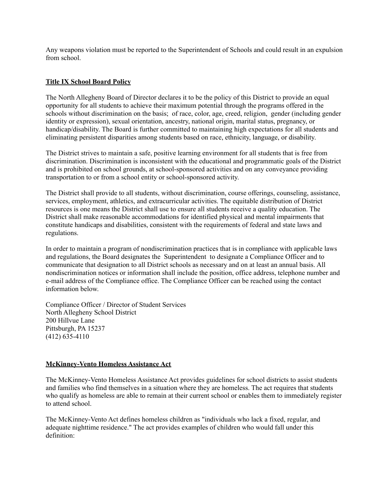Any weapons violation must be reported to the Superintendent of Schools and could result in an expulsion from school.

#### **Title IX School Board Policy**

The North Allegheny Board of Director declares it to be the policy of this District to provide an equal opportunity for all students to achieve their maximum potential through the programs offered in the schools without discrimination on the basis; of race, color, age, creed, religion, gender (including gender identity or expression), sexual orientation, ancestry, national origin, marital status, pregnancy, or handicap/disability. The Board is further committed to maintaining high expectations for all students and eliminating persistent disparities among students based on race, ethnicity, language, or disability.

The District strives to maintain a safe, positive learning environment for all students that is free from discrimination. Discrimination is inconsistent with the educational and programmatic goals of the District and is prohibited on school grounds, at school-sponsored activities and on any conveyance providing transportation to or from a school entity or school-sponsored activity.

The District shall provide to all students, without discrimination, course offerings, counseling, assistance, services, employment, athletics, and extracurricular activities. The equitable distribution of District resources is one means the District shall use to ensure all students receive a quality education. The District shall make reasonable accommodations for identified physical and mental impairments that constitute handicaps and disabilities, consistent with the requirements of federal and state laws and regulations.

In order to maintain a program of nondiscrimination practices that is in compliance with applicable laws and regulations, the Board designates the Superintendent to designate a Compliance Officer and to communicate that designation to all District schools as necessary and on at least an annual basis. All nondiscrimination notices or information shall include the position, office address, telephone number and e-mail address of the Compliance office. The Compliance Officer can be reached using the contact information below.

Compliance Officer / Director of Student Services North Allegheny School District 200 Hillvue Lane Pittsburgh, PA 15237 (412) 635-4110

#### **McKinney-Vento Homeless Assistance Act**

The McKinney-Vento Homeless Assistance Act provides guidelines for school districts to assist students and families who find themselves in a situation where they are homeless. The act requires that students who qualify as homeless are able to remain at their current school or enables them to immediately register to attend school.

The McKinney-Vento Act defines homeless children as "individuals who lack a fixed, regular, and adequate nighttime residence." The act provides examples of children who would fall under this definition: